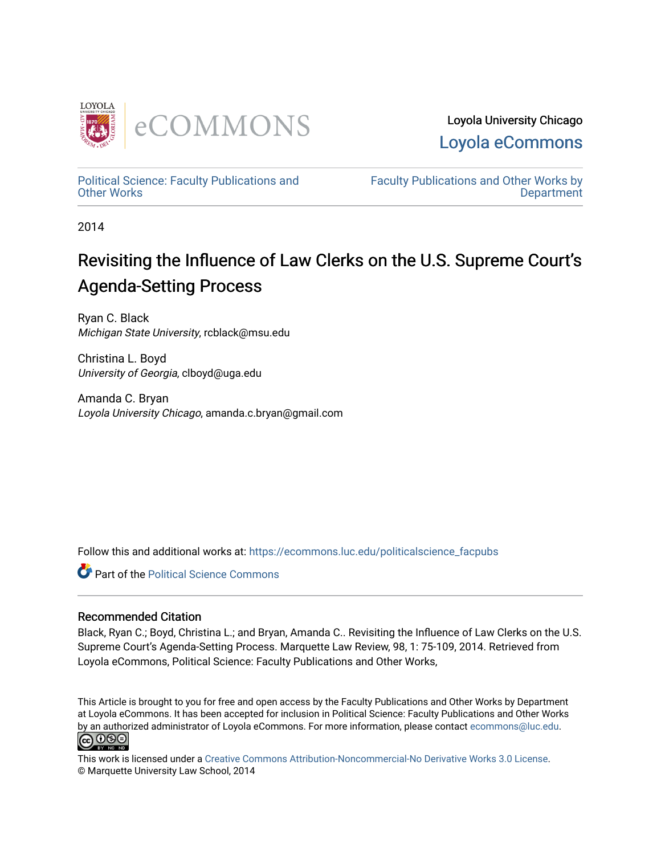

Loyola University Chicago [Loyola eCommons](https://ecommons.luc.edu/) 

[Political Science: Faculty Publications and](https://ecommons.luc.edu/politicalscience_facpubs) [Other Works](https://ecommons.luc.edu/politicalscience_facpubs)

[Faculty Publications and Other Works by](https://ecommons.luc.edu/faculty)  **Department** 

2014

# Revisiting the Influence of Law Clerks on the U.S. Supreme Court's Agenda-Setting Process

Ryan C. Black Michigan State University, rcblack@msu.edu

Christina L. Boyd University of Georgia, clboyd@uga.edu

Amanda C. Bryan Loyola University Chicago, amanda.c.bryan@gmail.com

Follow this and additional works at: [https://ecommons.luc.edu/politicalscience\\_facpubs](https://ecommons.luc.edu/politicalscience_facpubs?utm_source=ecommons.luc.edu%2Fpoliticalscience_facpubs%2F32&utm_medium=PDF&utm_campaign=PDFCoverPages) 

**Part of the Political Science Commons** 

## Recommended Citation

Black, Ryan C.; Boyd, Christina L.; and Bryan, Amanda C.. Revisiting the Influence of Law Clerks on the U.S. Supreme Court's Agenda-Setting Process. Marquette Law Review, 98, 1: 75-109, 2014. Retrieved from Loyola eCommons, Political Science: Faculty Publications and Other Works,

This Article is brought to you for free and open access by the Faculty Publications and Other Works by Department at Loyola eCommons. It has been accepted for inclusion in Political Science: Faculty Publications and Other Works by an authorized administrator of Loyola eCommons. For more information, please contact [ecommons@luc.edu.](mailto:ecommons@luc.edu) <u>@ 0®0</u>

This work is licensed under a [Creative Commons Attribution-Noncommercial-No Derivative Works 3.0 License.](https://creativecommons.org/licenses/by-nc-nd/3.0/) © Marquette University Law School, 2014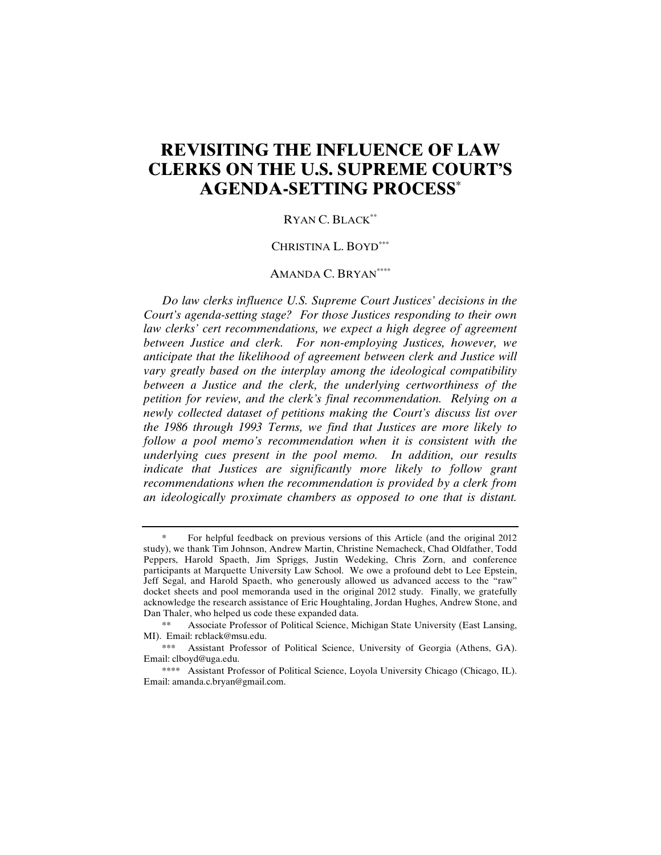## **REVISITING THE INFLUENCE OF LAW CLERKS ON THE U.S. SUPREME COURT'S AGENDA-SETTING PROCESS\***

#### RYAN C. BLACK\*\*

#### CHRISTINA L. BOYD\*\*\*

#### AMANDA C. BRYAN\*\*\*\*

*Do law clerks influence U.S. Supreme Court Justices' decisions in the Court's agenda-setting stage? For those Justices responding to their own law clerks' cert recommendations, we expect a high degree of agreement between Justice and clerk. For non-employing Justices, however, we anticipate that the likelihood of agreement between clerk and Justice will vary greatly based on the interplay among the ideological compatibility between a Justice and the clerk, the underlying certworthiness of the petition for review, and the clerk's final recommendation. Relying on a newly collected dataset of petitions making the Court's discuss list over the 1986 through 1993 Terms, we find that Justices are more likely to follow a pool memo's recommendation when it is consistent with the underlying cues present in the pool memo. In addition, our results indicate that Justices are significantly more likely to follow grant recommendations when the recommendation is provided by a clerk from an ideologically proximate chambers as opposed to one that is distant.* 

For helpful feedback on previous versions of this Article (and the original 2012 study), we thank Tim Johnson, Andrew Martin, Christine Nemacheck, Chad Oldfather, Todd Peppers, Harold Spaeth, Jim Spriggs, Justin Wedeking, Chris Zorn, and conference participants at Marquette University Law School. We owe a profound debt to Lee Epstein, Jeff Segal, and Harold Spaeth, who generously allowed us advanced access to the "raw" docket sheets and pool memoranda used in the original 2012 study. Finally, we gratefully acknowledge the research assistance of Eric Houghtaling, Jordan Hughes, Andrew Stone, and Dan Thaler, who helped us code these expanded data.

Associate Professor of Political Science, Michigan State University (East Lansing, MI). Email: rcblack@msu.edu.

 <sup>\*\*\*</sup> Assistant Professor of Political Science, University of Georgia (Athens, GA). Email: clboyd@uga.edu.

 <sup>\*\*\*\*</sup> Assistant Professor of Political Science, Loyola University Chicago (Chicago, IL). Email: amanda.c.bryan@gmail.com.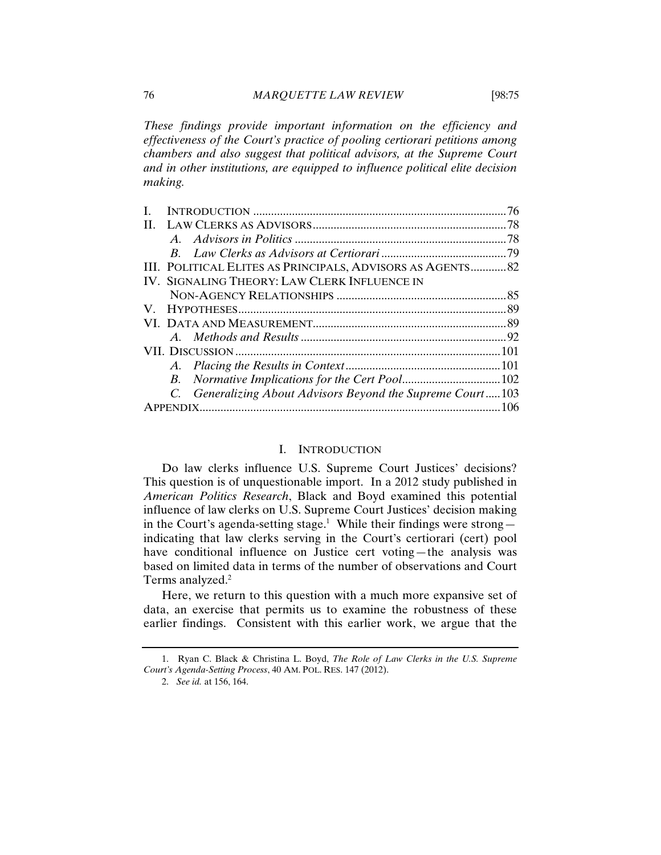*These findings provide important information on the efficiency and effectiveness of the Court's practice of pooling certiorari petitions among chambers and also suggest that political advisors, at the Supreme Court and in other institutions, are equipped to influence political elite decision making.* 

|    |                                                            | 76 |
|----|------------------------------------------------------------|----|
| H. |                                                            |    |
|    |                                                            |    |
|    |                                                            |    |
|    | III. POLITICAL ELITES AS PRINCIPALS, ADVISORS AS AGENTS 82 |    |
|    | IV. SIGNALING THEORY: LAW CLERK INFLUENCE IN               |    |
|    |                                                            |    |
|    |                                                            |    |
|    |                                                            |    |
|    |                                                            |    |
|    |                                                            |    |
|    |                                                            |    |
|    |                                                            |    |
|    | C. Generalizing About Advisors Beyond the Supreme Court103 |    |
|    |                                                            |    |
|    |                                                            |    |

#### I. INTRODUCTION

Do law clerks influence U.S. Supreme Court Justices' decisions? This question is of unquestionable import. In a 2012 study published in *American Politics Research*, Black and Boyd examined this potential influence of law clerks on U.S. Supreme Court Justices' decision making in the Court's agenda-setting stage.<sup>1</sup> While their findings were strongindicating that law clerks serving in the Court's certiorari (cert) pool have conditional influence on Justice cert voting—the analysis was based on limited data in terms of the number of observations and Court Terms analyzed.<sup>2</sup>

Here, we return to this question with a much more expansive set of data, an exercise that permits us to examine the robustness of these earlier findings. Consistent with this earlier work, we argue that the

<sup>1.</sup> Ryan C. Black & Christina L. Boyd, *The Role of Law Clerks in the U.S. Supreme Court's Agenda-Setting Process*, 40 AM. POL. RES. 147 (2012).

<sup>2.</sup> *See id.* at 156, 164.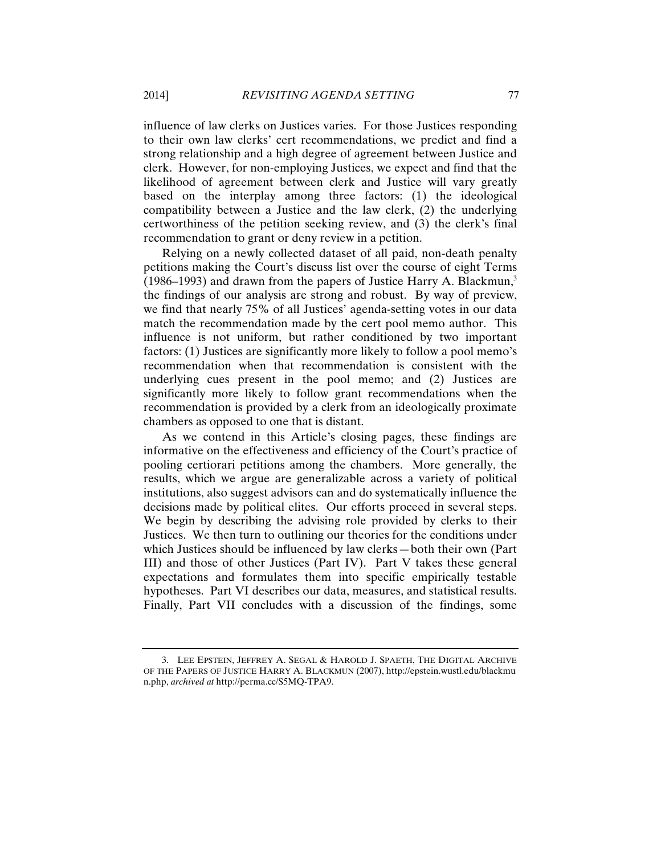influence of law clerks on Justices varies. For those Justices responding to their own law clerks' cert recommendations, we predict and find a strong relationship and a high degree of agreement between Justice and clerk. However, for non-employing Justices, we expect and find that the likelihood of agreement between clerk and Justice will vary greatly based on the interplay among three factors: (1) the ideological compatibility between a Justice and the law clerk, (2) the underlying certworthiness of the petition seeking review, and (3) the clerk's final recommendation to grant or deny review in a petition.

Relying on a newly collected dataset of all paid, non-death penalty petitions making the Court's discuss list over the course of eight Terms (1986–1993) and drawn from the papers of Justice Harry A. Blackmun, $3$ the findings of our analysis are strong and robust. By way of preview, we find that nearly 75% of all Justices' agenda-setting votes in our data match the recommendation made by the cert pool memo author. This influence is not uniform, but rather conditioned by two important factors: (1) Justices are significantly more likely to follow a pool memo's recommendation when that recommendation is consistent with the underlying cues present in the pool memo; and (2) Justices are significantly more likely to follow grant recommendations when the recommendation is provided by a clerk from an ideologically proximate chambers as opposed to one that is distant.

As we contend in this Article's closing pages, these findings are informative on the effectiveness and efficiency of the Court's practice of pooling certiorari petitions among the chambers. More generally, the results, which we argue are generalizable across a variety of political institutions, also suggest advisors can and do systematically influence the decisions made by political elites. Our efforts proceed in several steps. We begin by describing the advising role provided by clerks to their Justices. We then turn to outlining our theories for the conditions under which Justices should be influenced by law clerks—both their own (Part III) and those of other Justices (Part IV). Part V takes these general expectations and formulates them into specific empirically testable hypotheses. Part VI describes our data, measures, and statistical results. Finally, Part VII concludes with a discussion of the findings, some

<sup>3.</sup> LEE EPSTEIN, JEFFREY A. SEGAL & HAROLD J. SPAETH, THE DIGITAL ARCHIVE OF THE PAPERS OF JUSTICE HARRY A. BLACKMUN (2007), http://epstein.wustl.edu/blackmu n.php, *archived at* http://perma.cc/S5MQ-TPA9.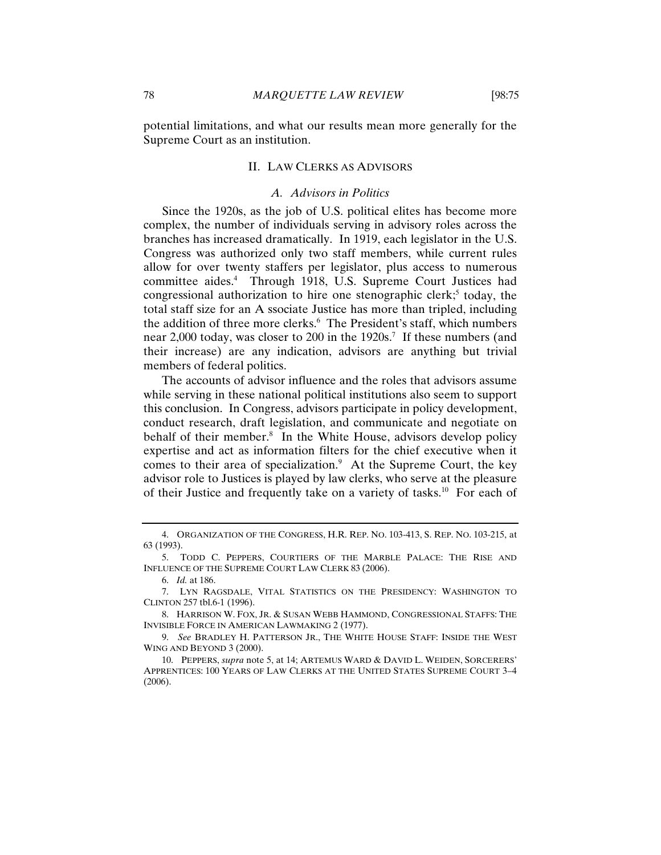potential limitations, and what our results mean more generally for the Supreme Court as an institution.

#### II. LAW CLERKS AS ADVISORS

#### *A. Advisors in Politics*

Since the 1920s, as the job of U.S. political elites has become more complex, the number of individuals serving in advisory roles across the branches has increased dramatically. In 1919, each legislator in the U.S. Congress was authorized only two staff members, while current rules allow for over twenty staffers per legislator, plus access to numerous committee aides.<sup>4</sup> Through 1918, U.S. Supreme Court Justices had congressional authorization to hire one stenographic clerk;<sup>5</sup> today, the total staff size for an A ssociate Justice has more than tripled, including the addition of three more clerks.<sup>6</sup> The President's staff, which numbers near 2,000 today, was closer to 200 in the 1920s.<sup>7</sup> If these numbers (and their increase) are any indication, advisors are anything but trivial members of federal politics.

The accounts of advisor influence and the roles that advisors assume while serving in these national political institutions also seem to support this conclusion. In Congress, advisors participate in policy development, conduct research, draft legislation, and communicate and negotiate on behalf of their member.<sup>8</sup> In the White House, advisors develop policy expertise and act as information filters for the chief executive when it comes to their area of specialization.<sup>9</sup> At the Supreme Court, the key advisor role to Justices is played by law clerks, who serve at the pleasure of their Justice and frequently take on a variety of tasks.<sup>10</sup> For each of

<sup>4.</sup> ORGANIZATION OF THE CONGRESS, H.R. REP. NO. 103-413, S. REP. NO. 103-215, at 63 (1993).

<sup>5.</sup> TODD C. PEPPERS, COURTIERS OF THE MARBLE PALACE: THE RISE AND INFLUENCE OF THE SUPREME COURT LAW CLERK 83 (2006).

<sup>6.</sup> *Id.* at 186.

<sup>7.</sup> LYN RAGSDALE, VITAL STATISTICS ON THE PRESIDENCY: WASHINGTON TO CLINTON 257 tbl.6-1 (1996).

<sup>8.</sup> HARRISON W. FOX, JR. & SUSAN WEBB HAMMOND, CONGRESSIONAL STAFFS: THE INVISIBLE FORCE IN AMERICAN LAWMAKING 2 (1977).

<sup>9.</sup> *See* BRADLEY H. PATTERSON JR., THE WHITE HOUSE STAFF: INSIDE THE WEST WING AND BEYOND 3 (2000).

<sup>10.</sup> PEPPERS, *supra* note 5, at 14; ARTEMUS WARD & DAVID L. WEIDEN, SORCERERS' APPRENTICES: 100 YEARS OF LAW CLERKS AT THE UNITED STATES SUPREME COURT 3–4 (2006).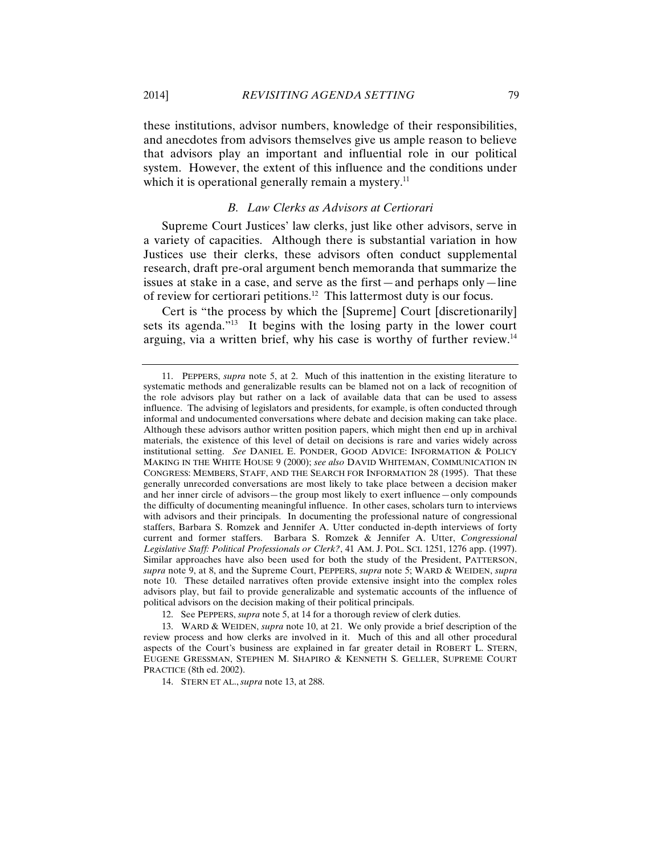these institutions, advisor numbers, knowledge of their responsibilities, and anecdotes from advisors themselves give us ample reason to believe that advisors play an important and influential role in our political system. However, the extent of this influence and the conditions under which it is operational generally remain a mystery.<sup>11</sup>

#### *B. Law Clerks as Advisors at Certiorari*

Supreme Court Justices' law clerks, just like other advisors, serve in a variety of capacities. Although there is substantial variation in how Justices use their clerks, these advisors often conduct supplemental research, draft pre-oral argument bench memoranda that summarize the issues at stake in a case, and serve as the first—and perhaps only—line of review for certiorari petitions.12 This lattermost duty is our focus.

Cert is "the process by which the [Supreme] Court [discretionarily] sets its agenda."<sup>13</sup> It begins with the losing party in the lower court arguing, via a written brief, why his case is worthy of further review.14

14. STERN ET AL., *supra* note 13, at 288.

<sup>11.</sup> PEPPERS, *supra* note 5, at 2. Much of this inattention in the existing literature to systematic methods and generalizable results can be blamed not on a lack of recognition of the role advisors play but rather on a lack of available data that can be used to assess influence. The advising of legislators and presidents, for example, is often conducted through informal and undocumented conversations where debate and decision making can take place. Although these advisors author written position papers, which might then end up in archival materials, the existence of this level of detail on decisions is rare and varies widely across institutional setting. *See* DANIEL E. PONDER, GOOD ADVICE: INFORMATION & POLICY MAKING IN THE WHITE HOUSE 9 (2000); *see also* DAVID WHITEMAN, COMMUNICATION IN CONGRESS: MEMBERS, STAFF, AND THE SEARCH FOR INFORMATION 28 (1995). That these generally unrecorded conversations are most likely to take place between a decision maker and her inner circle of advisors—the group most likely to exert influence—only compounds the difficulty of documenting meaningful influence. In other cases, scholars turn to interviews with advisors and their principals. In documenting the professional nature of congressional staffers, Barbara S. Romzek and Jennifer A. Utter conducted in-depth interviews of forty current and former staffers. Barbara S. Romzek & Jennifer A. Utter, *Congressional Legislative Staff: Political Professionals or Clerk?*, 41 AM. J. POL. SCI. 1251, 1276 app. (1997). Similar approaches have also been used for both the study of the President, PATTERSON, *supra* note 9, at 8, and the Supreme Court, PEPPERS, *supra* note 5; WARD & WEIDEN, *supra* note 10. These detailed narratives often provide extensive insight into the complex roles advisors play, but fail to provide generalizable and systematic accounts of the influence of political advisors on the decision making of their political principals.

<sup>12.</sup> See PEPPERS, *supra* note 5, at 14 for a thorough review of clerk duties.

<sup>13.</sup> WARD & WEIDEN, *supra* note 10, at 21. We only provide a brief description of the review process and how clerks are involved in it. Much of this and all other procedural aspects of the Court's business are explained in far greater detail in ROBERT L. STERN, EUGENE GRESSMAN, STEPHEN M. SHAPIRO & KENNETH S. GELLER, SUPREME COURT PRACTICE (8th ed. 2002).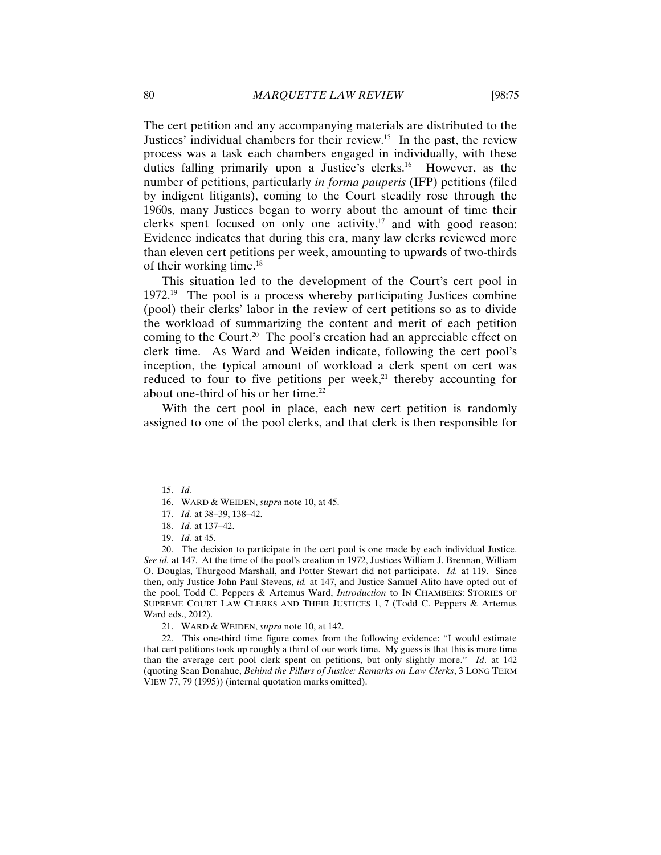The cert petition and any accompanying materials are distributed to the Justices' individual chambers for their review.<sup>15</sup> In the past, the review process was a task each chambers engaged in individually, with these duties falling primarily upon a Justice's clerks.<sup>16</sup> However, as the number of petitions, particularly *in forma pauperis* (IFP) petitions (filed by indigent litigants), coming to the Court steadily rose through the 1960s, many Justices began to worry about the amount of time their clerks spent focused on only one activity, $17$  and with good reason: Evidence indicates that during this era, many law clerks reviewed more than eleven cert petitions per week, amounting to upwards of two-thirds of their working time.18

This situation led to the development of the Court's cert pool in  $1972.<sup>19</sup>$  The pool is a process whereby participating Justices combine (pool) their clerks' labor in the review of cert petitions so as to divide the workload of summarizing the content and merit of each petition coming to the Court.<sup>20</sup> The pool's creation had an appreciable effect on clerk time. As Ward and Weiden indicate, following the cert pool's inception, the typical amount of workload a clerk spent on cert was reduced to four to five petitions per week, $21$  thereby accounting for about one-third of his or her time. $22$ 

With the cert pool in place, each new cert petition is randomly assigned to one of the pool clerks, and that clerk is then responsible for

21. WARD & WEIDEN, *supra* note 10, at 142.

22. This one-third time figure comes from the following evidence: "I would estimate that cert petitions took up roughly a third of our work time. My guess is that this is more time than the average cert pool clerk spent on petitions, but only slightly more." *Id*. at 142 (quoting Sean Donahue, *Behind the Pillars of Justice: Remarks on Law Clerks*, 3 LONG TERM VIEW 77, 79 (1995)) (internal quotation marks omitted).

<sup>15.</sup> *Id.*

<sup>16.</sup> WARD & WEIDEN, *supra* note 10, at 45.

<sup>17.</sup> *Id.* at 38–39, 138–42.

<sup>18.</sup> *Id.* at 137–42.

<sup>19.</sup> *Id.* at 45.

<sup>20.</sup> The decision to participate in the cert pool is one made by each individual Justice. *See id.* at 147.At the time of the pool's creation in 1972, Justices William J. Brennan, William O. Douglas, Thurgood Marshall, and Potter Stewart did not participate. *Id.* at 119. Since then, only Justice John Paul Stevens, *id.* at 147, and Justice Samuel Alito have opted out of the pool, Todd C. Peppers & Artemus Ward, *Introduction* to IN CHAMBERS: STORIES OF SUPREME COURT LAW CLERKS AND THEIR JUSTICES 1, 7 (Todd C. Peppers & Artemus Ward eds., 2012).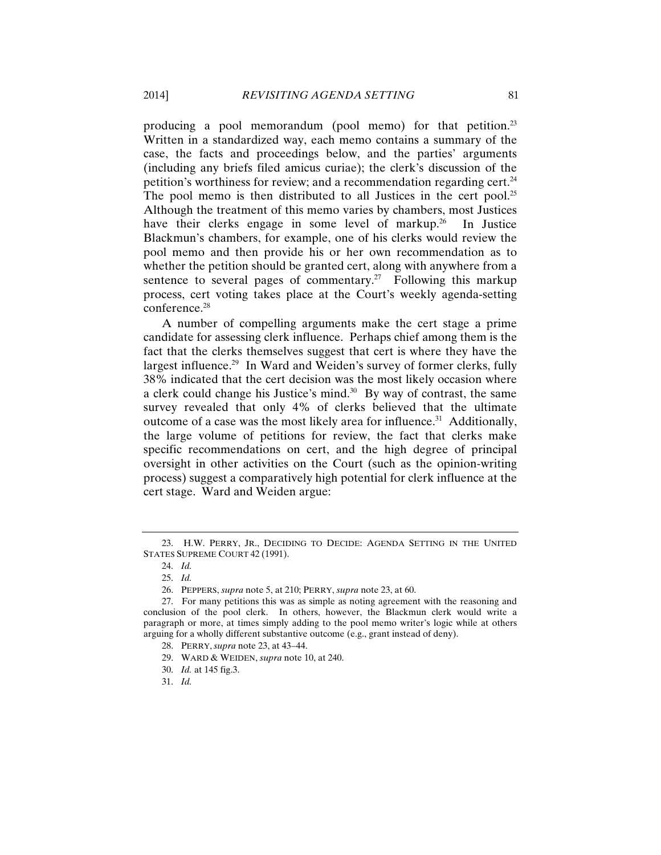producing a pool memorandum (pool memo) for that petition.<sup>23</sup> Written in a standardized way, each memo contains a summary of the case, the facts and proceedings below, and the parties' arguments (including any briefs filed amicus curiae); the clerk's discussion of the petition's worthiness for review; and a recommendation regarding cert.<sup>24</sup> The pool memo is then distributed to all Justices in the cert pool.<sup>25</sup> Although the treatment of this memo varies by chambers, most Justices have their clerks engage in some level of markup.<sup>26</sup> In Justice Blackmun's chambers, for example, one of his clerks would review the pool memo and then provide his or her own recommendation as to whether the petition should be granted cert, along with anywhere from a sentence to several pages of commentary.<sup>27</sup> Following this markup process, cert voting takes place at the Court's weekly agenda-setting conference.<sup>28</sup>

A number of compelling arguments make the cert stage a prime candidate for assessing clerk influence. Perhaps chief among them is the fact that the clerks themselves suggest that cert is where they have the largest influence.<sup>29</sup> In Ward and Weiden's survey of former clerks, fully 38% indicated that the cert decision was the most likely occasion where a clerk could change his Justice's mind.<sup>30</sup> By way of contrast, the same survey revealed that only 4% of clerks believed that the ultimate outcome of a case was the most likely area for influence.<sup>31</sup> Additionally, the large volume of petitions for review, the fact that clerks make specific recommendations on cert, and the high degree of principal oversight in other activities on the Court (such as the opinion-writing process) suggest a comparatively high potential for clerk influence at the cert stage. Ward and Weiden argue:

<sup>23.</sup> H.W. PERRY, JR., DECIDING TO DECIDE: AGENDA SETTING IN THE UNITED STATES SUPREME COURT 42 (1991).

<sup>24.</sup> *Id.*

<sup>25.</sup> *Id.*

<sup>26.</sup> PEPPERS, *supra* note 5, at 210; PERRY, *supra* note 23, at 60.

<sup>27.</sup> For many petitions this was as simple as noting agreement with the reasoning and conclusion of the pool clerk. In others, however, the Blackmun clerk would write a paragraph or more, at times simply adding to the pool memo writer's logic while at others arguing for a wholly different substantive outcome (e.g., grant instead of deny).

<sup>28.</sup> PERRY, *supra* note 23, at 43–44.

<sup>29.</sup> WARD & WEIDEN, *supra* note 10, at 240.

<sup>30.</sup> *Id.* at 145 fig.3.

<sup>31.</sup> *Id.*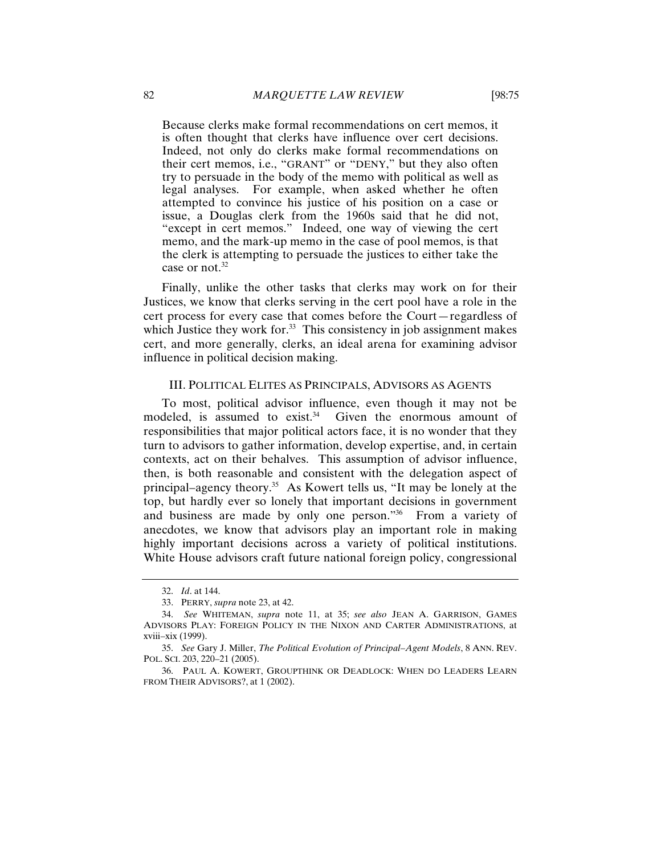Because clerks make formal recommendations on cert memos, it is often thought that clerks have influence over cert decisions. Indeed, not only do clerks make formal recommendations on their cert memos, i.e., "GRANT" or "DENY," but they also often try to persuade in the body of the memo with political as well as legal analyses. For example, when asked whether he often attempted to convince his justice of his position on a case or issue, a Douglas clerk from the 1960s said that he did not, "except in cert memos." Indeed, one way of viewing the cert memo, and the mark-up memo in the case of pool memos, is that the clerk is attempting to persuade the justices to either take the case or not.<sup>32</sup>

Finally, unlike the other tasks that clerks may work on for their Justices, we know that clerks serving in the cert pool have a role in the cert process for every case that comes before the Court—regardless of which Justice they work for.<sup>33</sup> This consistency in job assignment makes cert, and more generally, clerks, an ideal arena for examining advisor influence in political decision making.

#### III. POLITICAL ELITES AS PRINCIPALS, ADVISORS AS AGENTS

To most, political advisor influence, even though it may not be modeled, is assumed to exist. $34$  Given the enormous amount of responsibilities that major political actors face, it is no wonder that they turn to advisors to gather information, develop expertise, and, in certain contexts, act on their behalves. This assumption of advisor influence, then, is both reasonable and consistent with the delegation aspect of principal–agency theory.35 As Kowert tells us, "It may be lonely at the top, but hardly ever so lonely that important decisions in government and business are made by only one person."36 From a variety of anecdotes, we know that advisors play an important role in making highly important decisions across a variety of political institutions. White House advisors craft future national foreign policy, congressional

<sup>32.</sup> *Id*. at 144.

<sup>33.</sup> PERRY, *supra* note 23, at 42.

<sup>34.</sup> *See* WHITEMAN, *supra* note 11, at 35; *see also* JEAN A. GARRISON, GAMES ADVISORS PLAY: FOREIGN POLICY IN THE NIXON AND CARTER ADMINISTRATIONS, at xviii–xix (1999).

<sup>35.</sup> *See* Gary J. Miller, *The Political Evolution of Principal–Agent Models*, 8 ANN. REV. POL. SCI. 203, 220–21 (2005).

<sup>36.</sup> PAUL A. KOWERT, GROUPTHINK OR DEADLOCK: WHEN DO LEADERS LEARN FROM THEIR ADVISORS?, at 1 (2002).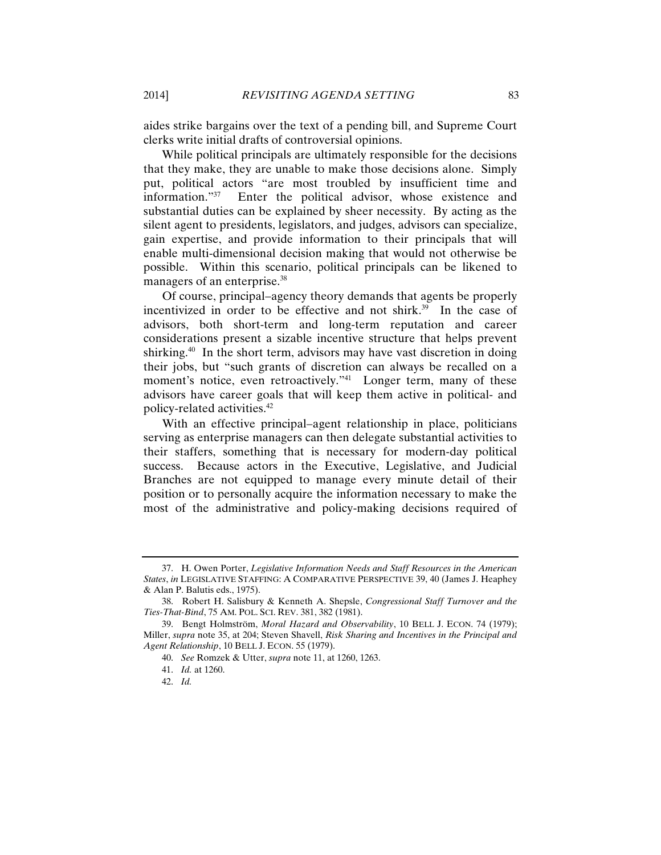aides strike bargains over the text of a pending bill, and Supreme Court clerks write initial drafts of controversial opinions.

While political principals are ultimately responsible for the decisions that they make, they are unable to make those decisions alone. Simply put, political actors "are most troubled by insufficient time and information."37 Enter the political advisor, whose existence and substantial duties can be explained by sheer necessity. By acting as the silent agent to presidents, legislators, and judges, advisors can specialize, gain expertise, and provide information to their principals that will enable multi-dimensional decision making that would not otherwise be possible. Within this scenario, political principals can be likened to managers of an enterprise.<sup>38</sup>

Of course, principal–agency theory demands that agents be properly incentivized in order to be effective and not shirk. $39$  In the case of advisors, both short-term and long-term reputation and career considerations present a sizable incentive structure that helps prevent shirking.<sup>40</sup> In the short term, advisors may have vast discretion in doing their jobs, but "such grants of discretion can always be recalled on a moment's notice, even retroactively."<sup>41</sup> Longer term, many of these advisors have career goals that will keep them active in political- and policy-related activities.42

With an effective principal–agent relationship in place, politicians serving as enterprise managers can then delegate substantial activities to their staffers, something that is necessary for modern-day political success. Because actors in the Executive, Legislative, and Judicial Branches are not equipped to manage every minute detail of their position or to personally acquire the information necessary to make the most of the administrative and policy-making decisions required of

<sup>37.</sup> H. Owen Porter, *Legislative Information Needs and Staff Resources in the American States*, *in* LEGISLATIVE STAFFING: A COMPARATIVE PERSPECTIVE 39, 40 (James J. Heaphey & Alan P. Balutis eds., 1975).

<sup>38.</sup> Robert H. Salisbury & Kenneth A. Shepsle, *Congressional Staff Turnover and the Ties-That-Bind*, 75 AM. POL. SCI. REV. 381, 382 (1981).

<sup>39.</sup> Bengt Holmström, *Moral Hazard and Observability*, 10 BELL J. ECON. 74 (1979); Miller, *supra* note 35, at 204; Steven Shavell, *Risk Sharing and Incentives in the Principal and Agent Relationship*, 10 BELL J. ECON. 55 (1979).

<sup>40.</sup> *See* Romzek & Utter, *supra* note 11, at 1260, 1263.

<sup>41.</sup> *Id.* at 1260.

<sup>42.</sup> *Id.*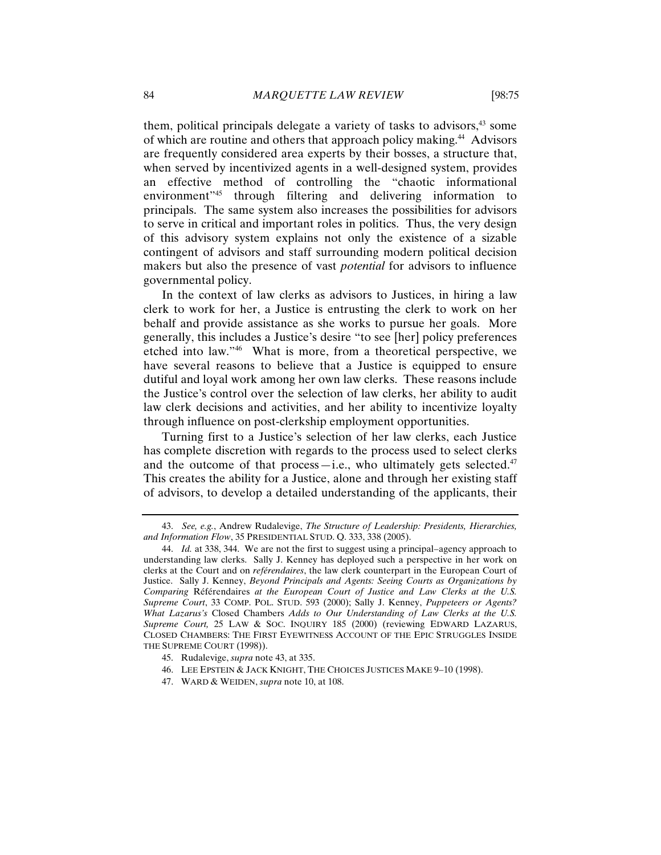them, political principals delegate a variety of tasks to advisors,<sup>43</sup> some of which are routine and others that approach policy making.<sup>44</sup> Advisors are frequently considered area experts by their bosses, a structure that, when served by incentivized agents in a well-designed system, provides an effective method of controlling the "chaotic informational environment<sup>"45</sup> through filtering and delivering information to principals. The same system also increases the possibilities for advisors to serve in critical and important roles in politics. Thus, the very design of this advisory system explains not only the existence of a sizable contingent of advisors and staff surrounding modern political decision makers but also the presence of vast *potential* for advisors to influence governmental policy.

In the context of law clerks as advisors to Justices, in hiring a law clerk to work for her, a Justice is entrusting the clerk to work on her behalf and provide assistance as she works to pursue her goals. More generally, this includes a Justice's desire "to see [her] policy preferences etched into law."46 What is more, from a theoretical perspective, we have several reasons to believe that a Justice is equipped to ensure dutiful and loyal work among her own law clerks. These reasons include the Justice's control over the selection of law clerks, her ability to audit law clerk decisions and activities, and her ability to incentivize loyalty through influence on post-clerkship employment opportunities.

Turning first to a Justice's selection of her law clerks, each Justice has complete discretion with regards to the process used to select clerks and the outcome of that process—i.e., who ultimately gets selected. $47$ This creates the ability for a Justice, alone and through her existing staff of advisors, to develop a detailed understanding of the applicants, their

- 46. LEE EPSTEIN & JACK KNIGHT, THE CHOICES JUSTICES MAKE 9–10 (1998).
- 47. WARD & WEIDEN, *supra* note 10, at 108.

<sup>43.</sup> *See, e.g.*, Andrew Rudalevige, *The Structure of Leadership: Presidents, Hierarchies, and Information Flow*, 35 PRESIDENTIAL STUD. Q. 333, 338 (2005).

<sup>44.</sup> *Id.* at 338, 344. We are not the first to suggest using a principal–agency approach to understanding law clerks. Sally J. Kenney has deployed such a perspective in her work on clerks at the Court and on *reférendaires*, the law clerk counterpart in the European Court of Justice. Sally J. Kenney, *Beyond Principals and Agents: Seeing Courts as Organizations by Comparing* Référendaires *at the European Court of Justice and Law Clerks at the U.S. Supreme Court*, 33 COMP. POL. STUD. 593 (2000); Sally J. Kenney, *Puppeteers or Agents? What Lazarus's* Closed Chambers *Adds to Our Understanding of Law Clerks at the U.S. Supreme Court,* 25 LAW & SOC. INQUIRY 185 (2000) (reviewing EDWARD LAZARUS, CLOSED CHAMBERS: THE FIRST EYEWITNESS ACCOUNT OF THE EPIC STRUGGLES INSIDE THE SUPREME COURT (1998)).

<sup>45.</sup> Rudalevige, *supra* note 43, at 335.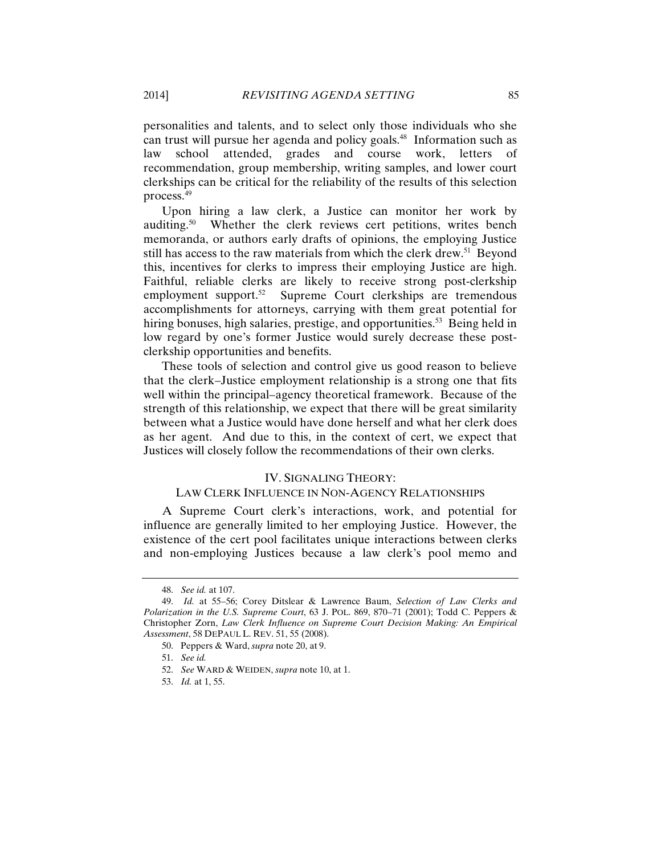personalities and talents, and to select only those individuals who she can trust will pursue her agenda and policy goals.<sup>48</sup> Information such as law school attended, grades and course work, letters of recommendation, group membership, writing samples, and lower court clerkships can be critical for the reliability of the results of this selection process.49

Upon hiring a law clerk, a Justice can monitor her work by auditing.50 Whether the clerk reviews cert petitions, writes bench memoranda, or authors early drafts of opinions, the employing Justice still has access to the raw materials from which the clerk drew.<sup>51</sup> Beyond this, incentives for clerks to impress their employing Justice are high. Faithful, reliable clerks are likely to receive strong post-clerkship employment support.<sup>52</sup> Supreme Court clerkships are tremendous accomplishments for attorneys, carrying with them great potential for hiring bonuses, high salaries, prestige, and opportunities.<sup>53</sup> Being held in low regard by one's former Justice would surely decrease these postclerkship opportunities and benefits.

These tools of selection and control give us good reason to believe that the clerk–Justice employment relationship is a strong one that fits well within the principal–agency theoretical framework. Because of the strength of this relationship, we expect that there will be great similarity between what a Justice would have done herself and what her clerk does as her agent. And due to this, in the context of cert, we expect that Justices will closely follow the recommendations of their own clerks.

#### IV. SIGNALING THEORY:

#### LAW CLERK INFLUENCE IN NON-AGENCY RELATIONSHIPS

A Supreme Court clerk's interactions, work, and potential for influence are generally limited to her employing Justice. However, the existence of the cert pool facilitates unique interactions between clerks and non-employing Justices because a law clerk's pool memo and

<sup>48.</sup> *See id.* at 107.

<sup>49.</sup> *Id.* at 55–56; Corey Ditslear & Lawrence Baum, *Selection of Law Clerks and Polarization in the U.S. Supreme Court*, 63 J. POL. 869, 870–71 (2001); Todd C. Peppers & Christopher Zorn, *Law Clerk Influence on Supreme Court Decision Making: An Empirical Assessment*, 58 DEPAUL L. REV. 51, 55 (2008).

<sup>50.</sup> Peppers & Ward, *supra* note 20, at 9.

<sup>51.</sup> *See id.*

<sup>52.</sup> *See* WARD & WEIDEN, *supra* note 10, at 1.

<sup>53.</sup> *Id.* at 1, 55.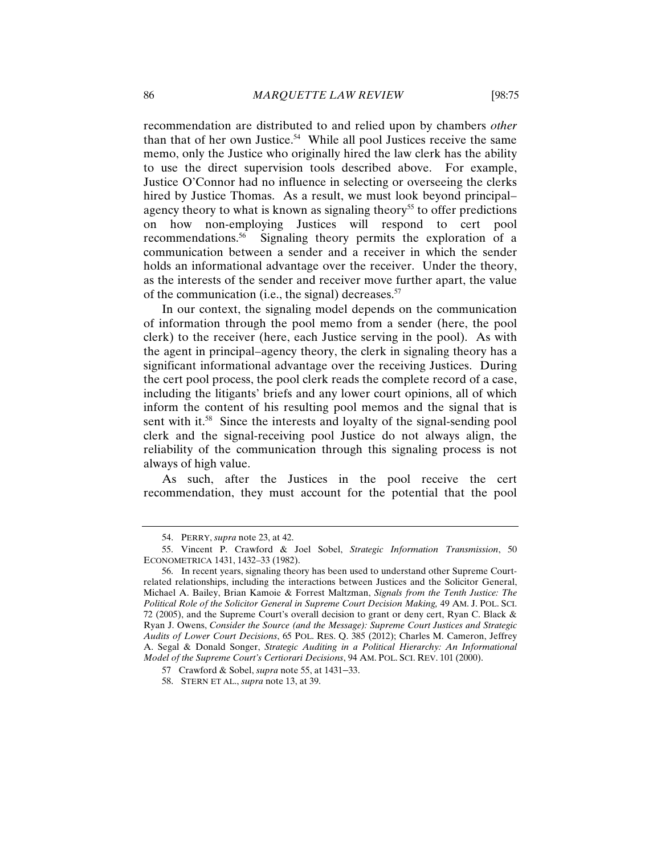recommendation are distributed to and relied upon by chambers *other* than that of her own Justice.<sup>54</sup> While all pool Justices receive the same memo, only the Justice who originally hired the law clerk has the ability to use the direct supervision tools described above. For example, Justice O'Connor had no influence in selecting or overseeing the clerks hired by Justice Thomas. As a result, we must look beyond principal– agency theory to what is known as signaling theory<sup>55</sup> to offer predictions on how non-employing Justices will respond to cert pool recommendations.56 Signaling theory permits the exploration of a communication between a sender and a receiver in which the sender holds an informational advantage over the receiver. Under the theory, as the interests of the sender and receiver move further apart, the value of the communication (i.e., the signal) decreases.<sup>57</sup>

In our context, the signaling model depends on the communication of information through the pool memo from a sender (here, the pool clerk) to the receiver (here, each Justice serving in the pool). As with the agent in principal–agency theory, the clerk in signaling theory has a significant informational advantage over the receiving Justices. During the cert pool process, the pool clerk reads the complete record of a case, including the litigants' briefs and any lower court opinions, all of which inform the content of his resulting pool memos and the signal that is sent with it.<sup>58</sup> Since the interests and loyalty of the signal-sending pool clerk and the signal-receiving pool Justice do not always align, the reliability of the communication through this signaling process is not always of high value.

As such, after the Justices in the pool receive the cert recommendation, they must account for the potential that the pool

<sup>54.</sup> PERRY, *supra* note 23, at 42.

<sup>55.</sup> Vincent P. Crawford & Joel Sobel, *Strategic Information Transmission*, 50 ECONOMETRICA 1431, 1432–33 (1982).

<sup>56.</sup> In recent years, signaling theory has been used to understand other Supreme Courtrelated relationships, including the interactions between Justices and the Solicitor General, Michael A. Bailey, Brian Kamoie & Forrest Maltzman, *Signals from the Tenth Justice: The Political Role of the Solicitor General in Supreme Court Decision Making,* 49 AM. J. POL. SCI. 72 (2005), and the Supreme Court's overall decision to grant or deny cert, Ryan C. Black & Ryan J. Owens, *Consider the Source (and the Message): Supreme Court Justices and Strategic Audits of Lower Court Decisions*, 65 POL. RES. Q. 385 (2012); Charles M. Cameron, Jeffrey A. Segal & Donald Songer, *Strategic Auditing in a Political Hierarchy: An Informational Model of the Supreme Court's Certiorari Decisions*, 94 AM. POL. SCI. REV. 101 (2000).

<sup>57</sup> Crawford & Sobel, *supra* note 55, at 1431–33.

<sup>58.</sup> STERN ET AL., *supra* note 13, at 39.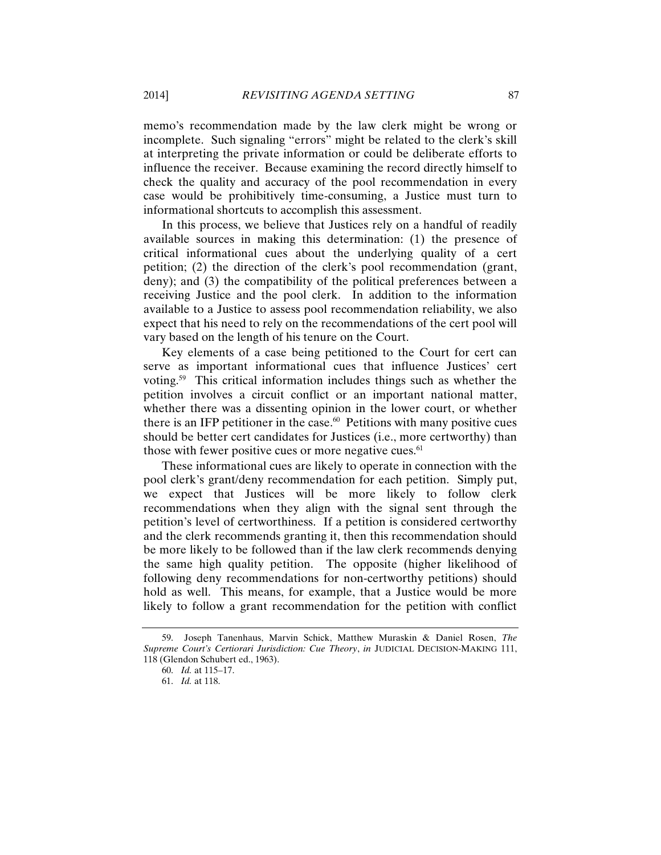memo's recommendation made by the law clerk might be wrong or incomplete. Such signaling "errors" might be related to the clerk's skill at interpreting the private information or could be deliberate efforts to influence the receiver. Because examining the record directly himself to check the quality and accuracy of the pool recommendation in every case would be prohibitively time-consuming, a Justice must turn to informational shortcuts to accomplish this assessment.

In this process, we believe that Justices rely on a handful of readily available sources in making this determination: (1) the presence of critical informational cues about the underlying quality of a cert petition; (2) the direction of the clerk's pool recommendation (grant, deny); and (3) the compatibility of the political preferences between a receiving Justice and the pool clerk. In addition to the information available to a Justice to assess pool recommendation reliability, we also expect that his need to rely on the recommendations of the cert pool will vary based on the length of his tenure on the Court.

Key elements of a case being petitioned to the Court for cert can serve as important informational cues that influence Justices' cert voting.59 This critical information includes things such as whether the petition involves a circuit conflict or an important national matter, whether there was a dissenting opinion in the lower court, or whether there is an IFP petitioner in the case. $60$  Petitions with many positive cues should be better cert candidates for Justices (i.e., more certworthy) than those with fewer positive cues or more negative cues.<sup>61</sup>

These informational cues are likely to operate in connection with the pool clerk's grant/deny recommendation for each petition. Simply put, we expect that Justices will be more likely to follow clerk recommendations when they align with the signal sent through the petition's level of certworthiness. If a petition is considered certworthy and the clerk recommends granting it, then this recommendation should be more likely to be followed than if the law clerk recommends denying the same high quality petition. The opposite (higher likelihood of following deny recommendations for non-certworthy petitions) should hold as well. This means, for example, that a Justice would be more likely to follow a grant recommendation for the petition with conflict

<sup>59.</sup> Joseph Tanenhaus, Marvin Schick, Matthew Muraskin & Daniel Rosen, *The Supreme Court's Certiorari Jurisdiction: Cue Theory*, *in* JUDICIAL DECISION-MAKING 111, 118 (Glendon Schubert ed., 1963).

<sup>60.</sup> *Id.* at 115–17.

<sup>61.</sup> *Id.* at 118.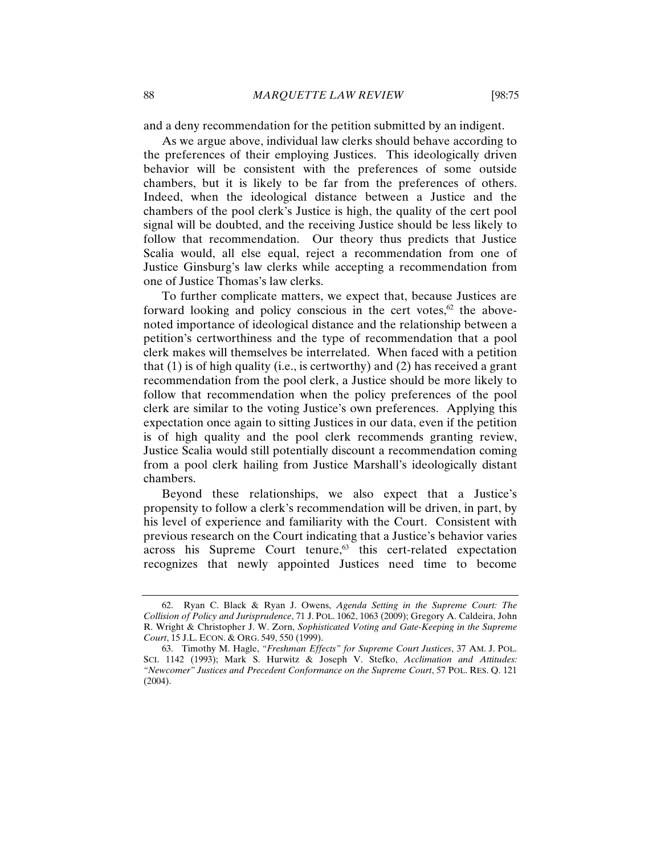and a deny recommendation for the petition submitted by an indigent.

As we argue above, individual law clerks should behave according to the preferences of their employing Justices. This ideologically driven behavior will be consistent with the preferences of some outside chambers, but it is likely to be far from the preferences of others. Indeed, when the ideological distance between a Justice and the chambers of the pool clerk's Justice is high, the quality of the cert pool signal will be doubted, and the receiving Justice should be less likely to follow that recommendation. Our theory thus predicts that Justice Scalia would, all else equal, reject a recommendation from one of Justice Ginsburg's law clerks while accepting a recommendation from one of Justice Thomas's law clerks.

To further complicate matters, we expect that, because Justices are forward looking and policy conscious in the cert votes, $62$  the abovenoted importance of ideological distance and the relationship between a petition's certworthiness and the type of recommendation that a pool clerk makes will themselves be interrelated. When faced with a petition that (1) is of high quality (i.e., is certworthy) and (2) has received a grant recommendation from the pool clerk, a Justice should be more likely to follow that recommendation when the policy preferences of the pool clerk are similar to the voting Justice's own preferences. Applying this expectation once again to sitting Justices in our data, even if the petition is of high quality and the pool clerk recommends granting review, Justice Scalia would still potentially discount a recommendation coming from a pool clerk hailing from Justice Marshall's ideologically distant chambers.

Beyond these relationships, we also expect that a Justice's propensity to follow a clerk's recommendation will be driven, in part, by his level of experience and familiarity with the Court. Consistent with previous research on the Court indicating that a Justice's behavior varies  $across$  his Supreme Court tenure, $63$  this cert-related expectation recognizes that newly appointed Justices need time to become

<sup>62.</sup> Ryan C. Black & Ryan J. Owens, *Agenda Setting in the Supreme Court: The Collision of Policy and Jurisprudence*, 71 J. POL. 1062, 1063 (2009); Gregory A. Caldeira, John R. Wright & Christopher J. W. Zorn, *Sophisticated Voting and Gate-Keeping in the Supreme Court*, 15 J.L. ECON. & ORG. 549, 550 (1999).

<sup>63.</sup> Timothy M. Hagle, *"Freshman Effects" for Supreme Court Justices*, 37 AM. J. POL. SCI. 1142 (1993); Mark S. Hurwitz & Joseph V. Stefko, *Acclimation and Attitudes: "Newcomer" Justices and Precedent Conformance on the Supreme Court*, 57 POL. RES. Q. 121 (2004).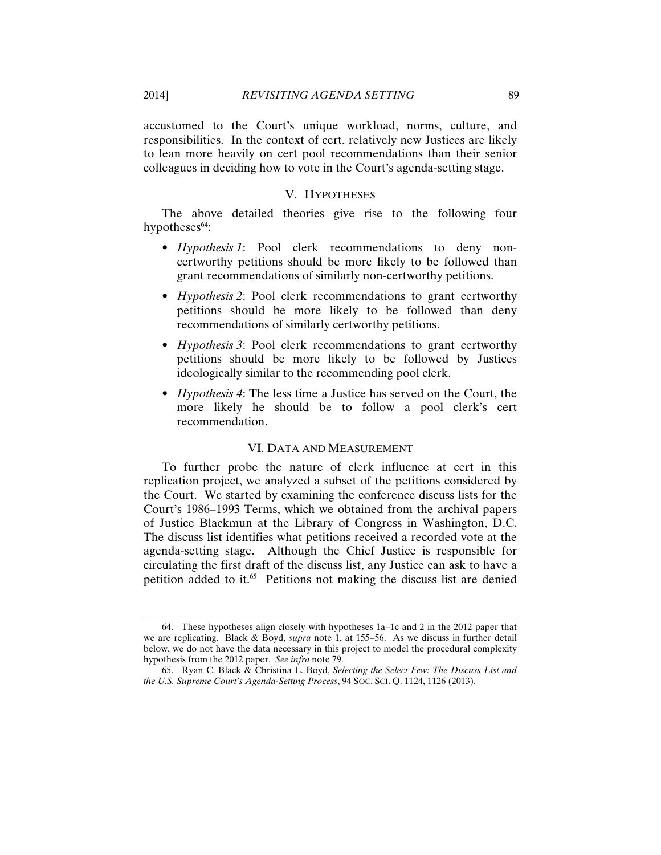accustomed to the Court's unique workload, norms, culture, and responsibilities. In the context of cert, relatively new Justices are likely to lean more heavily on cert pool recommendations than their senior colleagues in deciding how to vote in the Court's agenda-setting stage.

#### V. HYPOTHESES

The above detailed theories give rise to the following four hypotheses<sup>64</sup>:

- *Hypothesis 1*: Pool clerk recommendations to deny noncertworthy petitions should be more likely to be followed than grant recommendations of similarly non-certworthy petitions.
- *Hypothesis 2*: Pool clerk recommendations to grant certworthy petitions should be more likely to be followed than deny recommendations of similarly certworthy petitions.
- *Hypothesis 3*: Pool clerk recommendations to grant certworthy petitions should be more likely to be followed by Justices ideologically similar to the recommending pool clerk.
- *Hypothesis 4*: The less time a Justice has served on the Court, the more likely he should be to follow a pool clerk's cert recommendation.

#### VI. DATA AND MEASUREMENT

To further probe the nature of clerk influence at cert in this replication project, we analyzed a subset of the petitions considered by the Court. We started by examining the conference discuss lists for the Court's 1986–1993 Terms, which we obtained from the archival papers of Justice Blackmun at the Library of Congress in Washington, D.C. The discuss list identifies what petitions received a recorded vote at the agenda-setting stage. Although the Chief Justice is responsible for circulating the first draft of the discuss list, any Justice can ask to have a petition added to it.<sup>65</sup> Petitions not making the discuss list are denied

<sup>64.</sup> These hypotheses align closely with hypotheses 1a–1c and 2 in the 2012 paper that we are replicating. Black & Boyd, *supra* note 1, at 155–56. As we discuss in further detail below, we do not have the data necessary in this project to model the procedural complexity hypothesis from the 2012 paper. *See infra* note 79.

<sup>65.</sup> Ryan C. Black & Christina L. Boyd, *Selecting the Select Few: The Discuss List and the U.S. Supreme Court's Agenda-Setting Process*, 94 SOC. SCI. Q. 1124, 1126 (2013).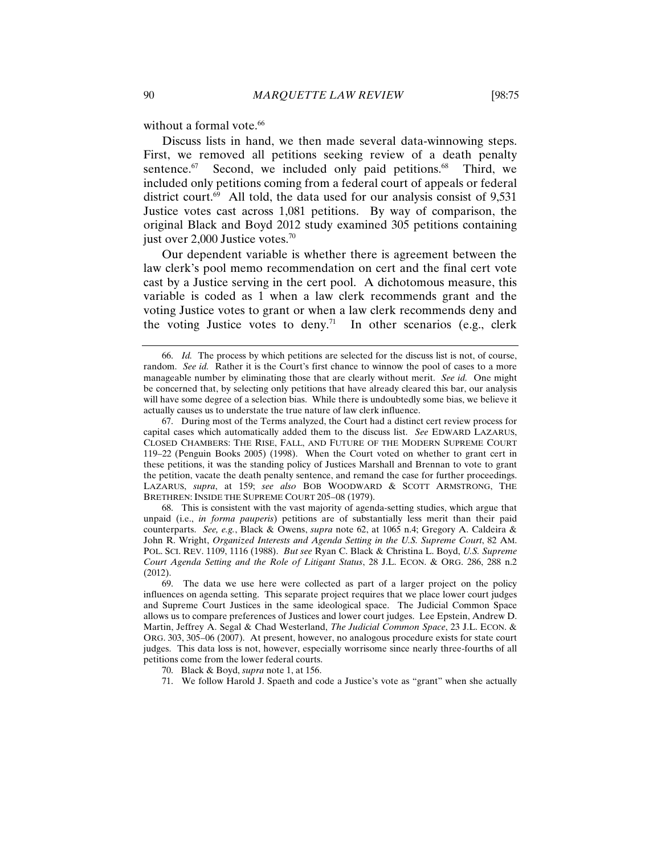without a formal vote.<sup>66</sup>

Discuss lists in hand, we then made several data-winnowing steps. First, we removed all petitions seeking review of a death penalty sentence.<sup>67</sup> Second, we included only paid petitions.<sup>68</sup> Third, we included only petitions coming from a federal court of appeals or federal district court.<sup>69</sup> All told, the data used for our analysis consist of  $9,531$ Justice votes cast across 1,081 petitions. By way of comparison, the original Black and Boyd 2012 study examined 305 petitions containing just over  $2,000$  Justice votes.<sup>70</sup>

Our dependent variable is whether there is agreement between the law clerk's pool memo recommendation on cert and the final cert vote cast by a Justice serving in the cert pool. A dichotomous measure, this variable is coded as 1 when a law clerk recommends grant and the voting Justice votes to grant or when a law clerk recommends deny and the voting Justice votes to deny.<sup>71</sup> In other scenarios (e.g., clerk

67. During most of the Terms analyzed, the Court had a distinct cert review process for capital cases which automatically added them to the discuss list. *See* EDWARD LAZARUS, CLOSED CHAMBERS: THE RISE, FALL, AND FUTURE OF THE MODERN SUPREME COURT 119–22 (Penguin Books 2005) (1998). When the Court voted on whether to grant cert in these petitions, it was the standing policy of Justices Marshall and Brennan to vote to grant the petition, vacate the death penalty sentence, and remand the case for further proceedings. LAZARUS, *supra*, at 159; *see also* BOB WOODWARD & SCOTT ARMSTRONG, THE BRETHREN: INSIDE THE SUPREME COURT 205–08 (1979).

68. This is consistent with the vast majority of agenda-setting studies, which argue that unpaid (i.e., *in forma pauperis*) petitions are of substantially less merit than their paid counterparts. *See, e.g.*, Black & Owens, *supra* note 62, at 1065 n.4; Gregory A. Caldeira & John R. Wright, *Organized Interests and Agenda Setting in the U.S. Supreme Court*, 82 AM. POL. SCI. REV. 1109, 1116 (1988). *But see* Ryan C. Black & Christina L. Boyd, *U.S. Supreme Court Agenda Setting and the Role of Litigant Status*, 28 J.L. ECON. & ORG. 286, 288 n.2 (2012).

71. We follow Harold J. Spaeth and code a Justice's vote as "grant" when she actually

<sup>66.</sup> *Id.* The process by which petitions are selected for the discuss list is not, of course, random. *See id.* Rather it is the Court's first chance to winnow the pool of cases to a more manageable number by eliminating those that are clearly without merit. *See id.* One might be concerned that, by selecting only petitions that have already cleared this bar, our analysis will have some degree of a selection bias. While there is undoubtedly some bias, we believe it actually causes us to understate the true nature of law clerk influence.

<sup>69.</sup> The data we use here were collected as part of a larger project on the policy influences on agenda setting. This separate project requires that we place lower court judges and Supreme Court Justices in the same ideological space. The Judicial Common Space allows us to compare preferences of Justices and lower court judges. Lee Epstein, Andrew D. Martin, Jeffrey A. Segal & Chad Westerland, *The Judicial Common Space*, 23 J.L. ECON. & ORG. 303, 305–06 (2007). At present, however, no analogous procedure exists for state court judges. This data loss is not, however, especially worrisome since nearly three-fourths of all petitions come from the lower federal courts.

<sup>70.</sup> Black & Boyd, *supra* note 1, at 156.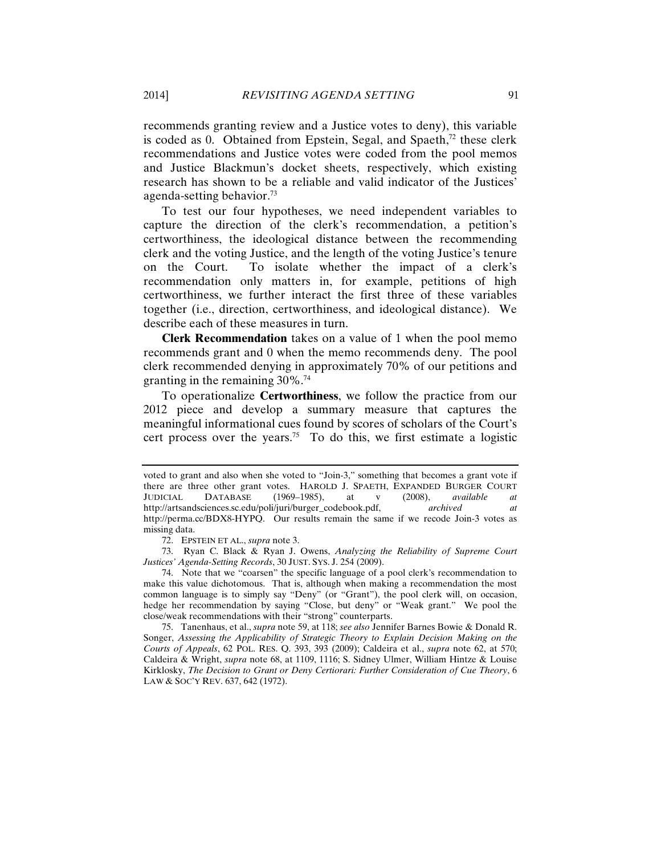recommends granting review and a Justice votes to deny), this variable is coded as 0. Obtained from Epstein, Segal, and Spaeth, $72$  these clerk recommendations and Justice votes were coded from the pool memos and Justice Blackmun's docket sheets, respectively, which existing research has shown to be a reliable and valid indicator of the Justices' agenda-setting behavior.73

To test our four hypotheses, we need independent variables to capture the direction of the clerk's recommendation, a petition's certworthiness, the ideological distance between the recommending clerk and the voting Justice, and the length of the voting Justice's tenure on the Court. To isolate whether the impact of a clerk's recommendation only matters in, for example, petitions of high certworthiness, we further interact the first three of these variables together (i.e., direction, certworthiness, and ideological distance). We describe each of these measures in turn.

**Clerk Recommendation** takes on a value of 1 when the pool memo recommends grant and 0 when the memo recommends deny. The pool clerk recommended denying in approximately 70% of our petitions and granting in the remaining 30%.74

To operationalize **Certworthiness**, we follow the practice from our 2012 piece and develop a summary measure that captures the meaningful informational cues found by scores of scholars of the Court's cert process over the years.<sup>75</sup> To do this, we first estimate a logistic

voted to grant and also when she voted to "Join-3," something that becomes a grant vote if there are three other grant votes. HAROLD J. SPAETH, EXPANDED BURGER COURT<br>JUDICIAL DATABASE (1969–1985), at v (2008), available at JUDICIAL DATABASE (1969–1985), at v (2008), *available at* http://artsandsciences.sc.edu/poli/juri/burger\_codebook.pdf, *archived at* http://perma.cc/BDX8-HYPQ. Our results remain the same if we recode Join-3 votes as missing data.

<sup>72.</sup> EPSTEIN ET AL., *supra* note 3.

<sup>73.</sup> Ryan C. Black & Ryan J. Owens, *Analyzing the Reliability of Supreme Court Justices' Agenda-Setting Records*, 30 JUST. SYS. J. 254 (2009).

<sup>74.</sup> Note that we "coarsen" the specific language of a pool clerk's recommendation to make this value dichotomous. That is, although when making a recommendation the most common language is to simply say "Deny" (or "Grant"), the pool clerk will, on occasion, hedge her recommendation by saying "Close, but deny" or "Weak grant." We pool the close/weak recommendations with their "strong" counterparts.

<sup>75.</sup> Tanenhaus, et al., *supra* note 59, at 118; *see also* Jennifer Barnes Bowie & Donald R. Songer, *Assessing the Applicability of Strategic Theory to Explain Decision Making on the Courts of Appeals*, 62 POL. RES. Q. 393, 393 (2009); Caldeira et al., *supra* note 62, at 570; Caldeira & Wright, *supra* note 68, at 1109, 1116; S. Sidney Ulmer, William Hintze & Louise Kirklosky, *The Decision to Grant or Deny Certiorari: Further Consideration of Cue Theory*, 6 LAW & SOC'Y REV. 637, 642 (1972).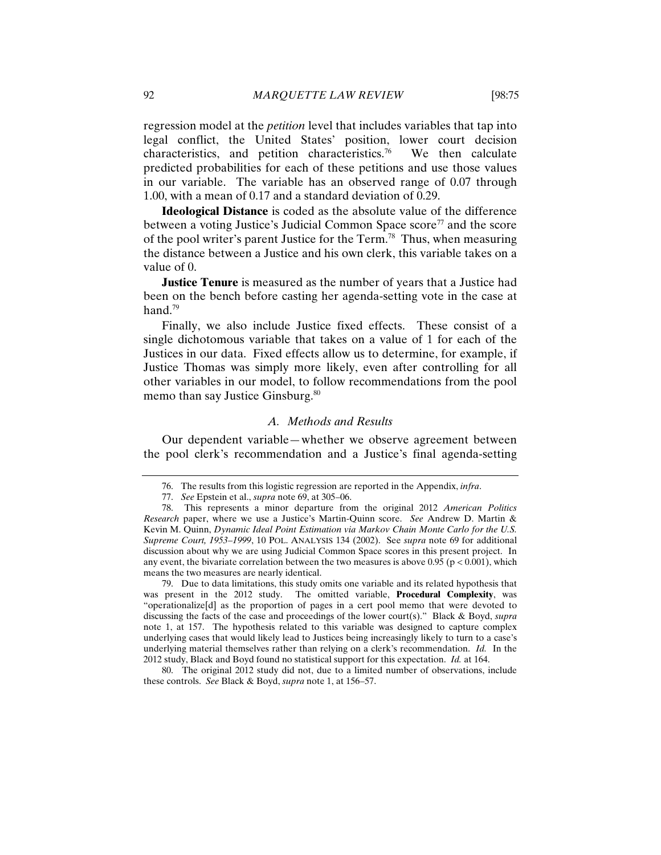regression model at the *petition* level that includes variables that tap into legal conflict, the United States' position, lower court decision characteristics, and petition characteristics.<sup>76</sup> We then calculate predicted probabilities for each of these petitions and use those values in our variable. The variable has an observed range of 0.07 through 1.00, with a mean of 0.17 and a standard deviation of 0.29.

**Ideological Distance** is coded as the absolute value of the difference between a voting Justice's Judicial Common Space score<sup>77</sup> and the score of the pool writer's parent Justice for the Term.78 Thus, when measuring the distance between a Justice and his own clerk, this variable takes on a value of 0.

**Justice Tenure** is measured as the number of years that a Justice had been on the bench before casting her agenda-setting vote in the case at hand.<sup>79</sup>

Finally, we also include Justice fixed effects. These consist of a single dichotomous variable that takes on a value of 1 for each of the Justices in our data. Fixed effects allow us to determine, for example, if Justice Thomas was simply more likely, even after controlling for all other variables in our model, to follow recommendations from the pool memo than say Justice Ginsburg.<sup>80</sup>

#### *A. Methods and Results*

Our dependent variable—whether we observe agreement between the pool clerk's recommendation and a Justice's final agenda-setting

79. Due to data limitations, this study omits one variable and its related hypothesis that was present in the 2012 study. The omitted variable, **Procedural Complexity**, was "operationalize[d] as the proportion of pages in a cert pool memo that were devoted to discussing the facts of the case and proceedings of the lower court(s)." Black & Boyd, *supra* note 1, at 157. The hypothesis related to this variable was designed to capture complex underlying cases that would likely lead to Justices being increasingly likely to turn to a case's underlying material themselves rather than relying on a clerk's recommendation. *Id.* In the 2012 study, Black and Boyd found no statistical support for this expectation. *Id.* at 164.

80. The original 2012 study did not, due to a limited number of observations, include these controls. *See* Black & Boyd, *supra* note 1, at 156–57.

<sup>76.</sup> The results from this logistic regression are reported in the Appendix, *infra*.

<sup>77.</sup> *See* Epstein et al., *supra* note 69, at 305–06.

<sup>78.</sup> This represents a minor departure from the original 2012 *American Politics Research* paper, where we use a Justice's Martin-Quinn score. *See* Andrew D. Martin & Kevin M. Quinn, *Dynamic Ideal Point Estimation via Markov Chain Monte Carlo for the U.S. Supreme Court, 1953–1999*, 10 POL. ANALYSIS 134 (2002). See *supra* note 69 for additional discussion about why we are using Judicial Common Space scores in this present project. In any event, the bivariate correlation between the two measures is above 0.95 ( $p < 0.001$ ), which means the two measures are nearly identical.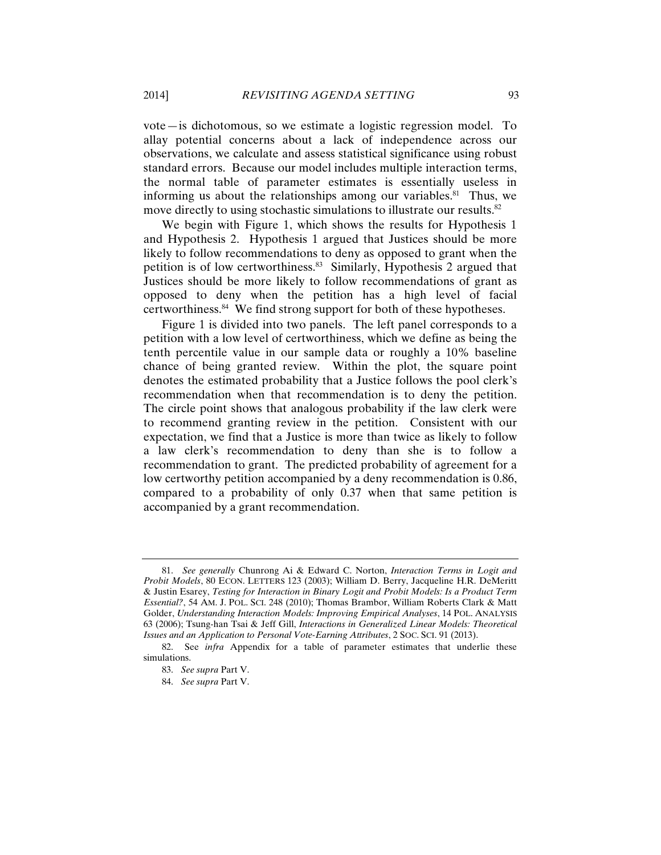vote—is dichotomous, so we estimate a logistic regression model. To allay potential concerns about a lack of independence across our observations, we calculate and assess statistical significance using robust standard errors. Because our model includes multiple interaction terms, the normal table of parameter estimates is essentially useless in informing us about the relationships among our variables.<sup>81</sup> Thus, we move directly to using stochastic simulations to illustrate our results.<sup>82</sup>

We begin with Figure 1, which shows the results for Hypothesis 1 and Hypothesis 2. Hypothesis 1 argued that Justices should be more likely to follow recommendations to deny as opposed to grant when the petition is of low certworthiness.<sup>83</sup> Similarly, Hypothesis 2 argued that Justices should be more likely to follow recommendations of grant as opposed to deny when the petition has a high level of facial certworthiness.84 We find strong support for both of these hypotheses.

Figure 1 is divided into two panels. The left panel corresponds to a petition with a low level of certworthiness, which we define as being the tenth percentile value in our sample data or roughly a 10% baseline chance of being granted review. Within the plot, the square point denotes the estimated probability that a Justice follows the pool clerk's recommendation when that recommendation is to deny the petition. The circle point shows that analogous probability if the law clerk were to recommend granting review in the petition. Consistent with our expectation, we find that a Justice is more than twice as likely to follow a law clerk's recommendation to deny than she is to follow a recommendation to grant. The predicted probability of agreement for a low certworthy petition accompanied by a deny recommendation is 0.86, compared to a probability of only 0.37 when that same petition is accompanied by a grant recommendation.

<sup>81.</sup> *See generally* Chunrong Ai & Edward C. Norton, *Interaction Terms in Logit and Probit Models*, 80 ECON. LETTERS 123 (2003); William D. Berry, Jacqueline H.R. DeMeritt & Justin Esarey, *Testing for Interaction in Binary Logit and Probit Models: Is a Product Term Essential?*, 54 AM. J. POL. SCI. 248 (2010); Thomas Brambor, William Roberts Clark & Matt Golder, *Understanding Interaction Models: Improving Empirical Analyses*, 14 POL. ANALYSIS 63 (2006); Tsung-han Tsai & Jeff Gill, *Interactions in Generalized Linear Models: Theoretical Issues and an Application to Personal Vote-Earning Attributes*, 2 SOC. SCI. 91 (2013).

<sup>82.</sup> See *infra* Appendix for a table of parameter estimates that underlie these simulations.

<sup>83.</sup> *See supra* Part V.

<sup>84.</sup> *See supra* Part V.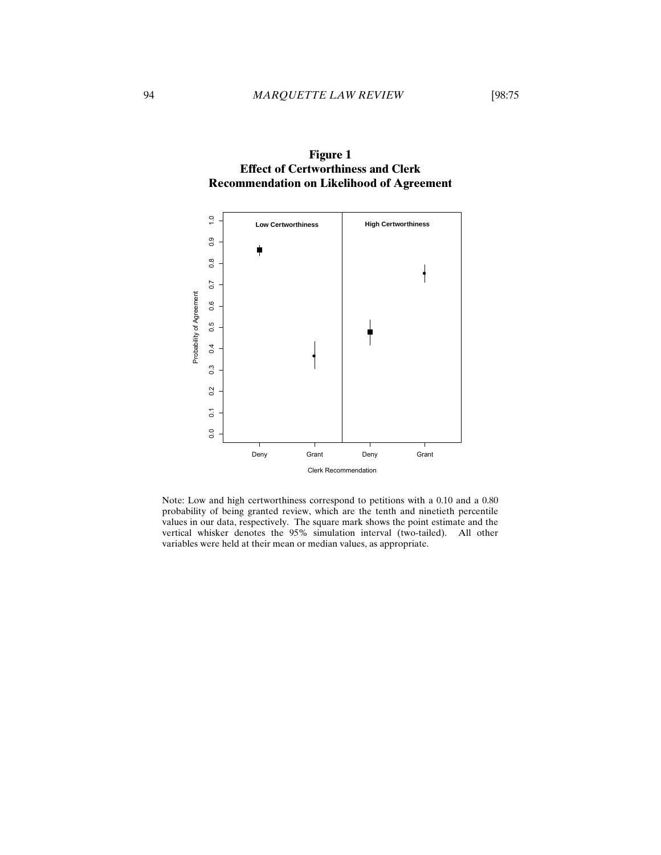

**Figure 1 Effect of Certworthiness and Clerk Recommendation on Likelihood of Agreement** 

Note: Low and high certworthiness correspond to petitions with a 0.10 and a 0.80 probability of being granted review, which are the tenth and ninetieth percentile values in our data, respectively. The square mark shows the point estimate and the vertical whisker denotes the 95% simulation interval (two-tailed). All other variables were held at their mean or median values, as appropriate. From Books and Separations of Agreement Separations of Agreement Separations of Agreement Separations of Agricultural variables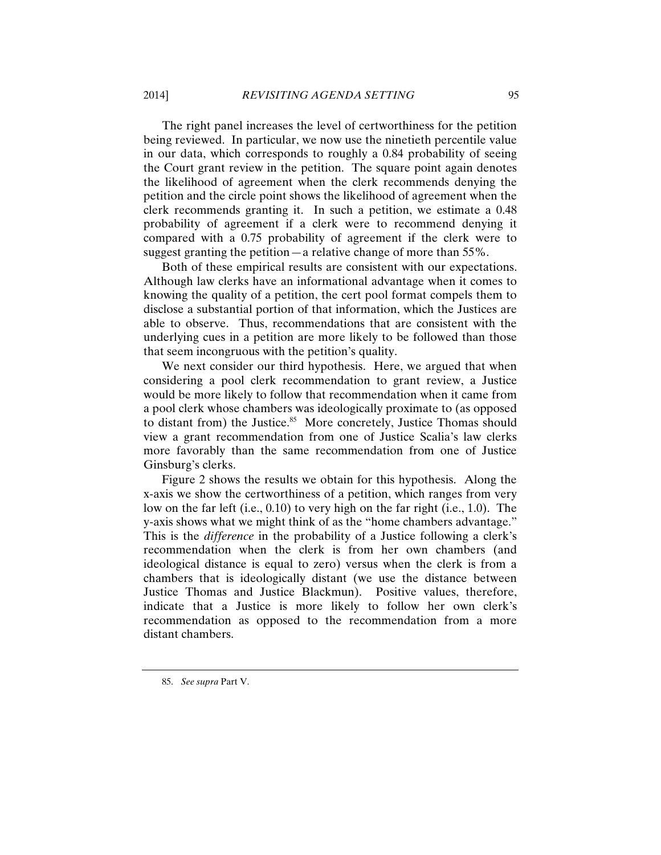The right panel increases the level of certworthiness for the petition being reviewed. In particular, we now use the ninetieth percentile value in our data, which corresponds to roughly a 0.84 probability of seeing the Court grant review in the petition. The square point again denotes the likelihood of agreement when the clerk recommends denying the petition and the circle point shows the likelihood of agreement when the clerk recommends granting it. In such a petition, we estimate a 0.48 probability of agreement if a clerk were to recommend denying it compared with a 0.75 probability of agreement if the clerk were to suggest granting the petition—a relative change of more than 55%.

Both of these empirical results are consistent with our expectations. Although law clerks have an informational advantage when it comes to knowing the quality of a petition, the cert pool format compels them to disclose a substantial portion of that information, which the Justices are able to observe. Thus, recommendations that are consistent with the underlying cues in a petition are more likely to be followed than those that seem incongruous with the petition's quality.

We next consider our third hypothesis. Here, we argued that when considering a pool clerk recommendation to grant review, a Justice would be more likely to follow that recommendation when it came from a pool clerk whose chambers was ideologically proximate to (as opposed to distant from) the Justice.<sup>85</sup> More concretely, Justice Thomas should view a grant recommendation from one of Justice Scalia's law clerks more favorably than the same recommendation from one of Justice Ginsburg's clerks.

Figure 2 shows the results we obtain for this hypothesis. Along the x-axis we show the certworthiness of a petition, which ranges from very low on the far left (i.e., 0.10) to very high on the far right (i.e., 1.0). The y-axis shows what we might think of as the "home chambers advantage." This is the *difference* in the probability of a Justice following a clerk's recommendation when the clerk is from her own chambers (and ideological distance is equal to zero) versus when the clerk is from a chambers that is ideologically distant (we use the distance between Justice Thomas and Justice Blackmun). Positive values, therefore, indicate that a Justice is more likely to follow her own clerk's recommendation as opposed to the recommendation from a more distant chambers.

<sup>85.</sup> *See supra* Part V.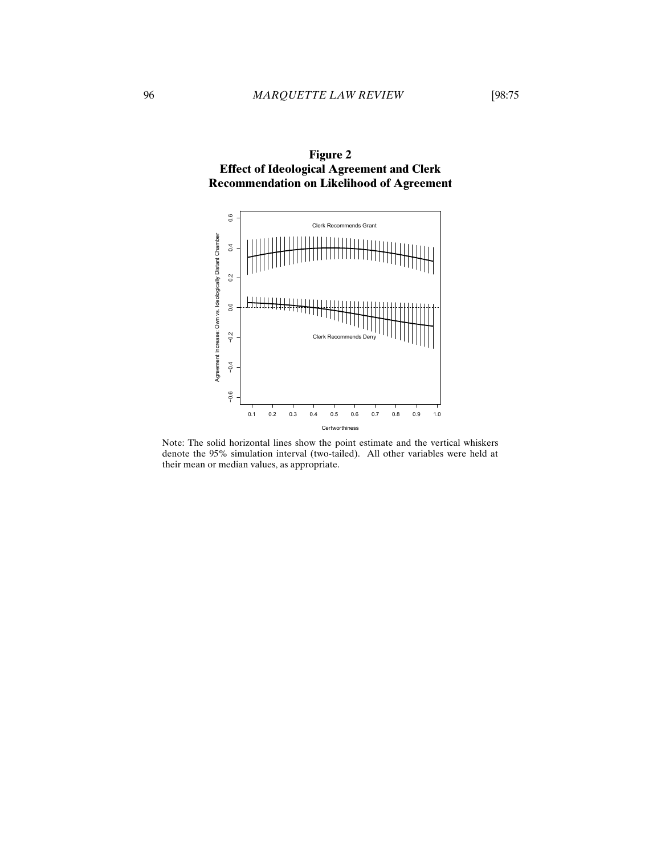

Note: The solid horizontal lines show the point estimate and the vertical whiskers denote the 95% simulation interval (two-tailed). All other variables were held at their mean or median values, as appropriate.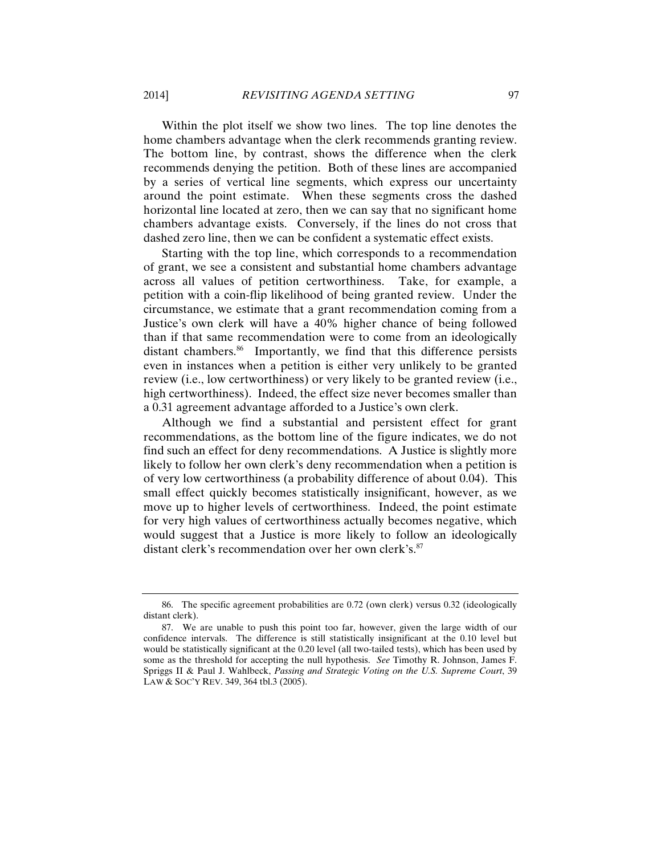Within the plot itself we show two lines. The top line denotes the home chambers advantage when the clerk recommends granting review. The bottom line, by contrast, shows the difference when the clerk recommends denying the petition. Both of these lines are accompanied by a series of vertical line segments, which express our uncertainty around the point estimate. When these segments cross the dashed horizontal line located at zero, then we can say that no significant home chambers advantage exists. Conversely, if the lines do not cross that dashed zero line, then we can be confident a systematic effect exists.

Starting with the top line, which corresponds to a recommendation of grant, we see a consistent and substantial home chambers advantage across all values of petition certworthiness. Take, for example, a petition with a coin-flip likelihood of being granted review. Under the circumstance, we estimate that a grant recommendation coming from a Justice's own clerk will have a 40% higher chance of being followed than if that same recommendation were to come from an ideologically distant chambers.<sup>86</sup> Importantly, we find that this difference persists even in instances when a petition is either very unlikely to be granted review (i.e., low certworthiness) or very likely to be granted review (i.e., high certworthiness). Indeed, the effect size never becomes smaller than a 0.31 agreement advantage afforded to a Justice's own clerk.

Although we find a substantial and persistent effect for grant recommendations, as the bottom line of the figure indicates, we do not find such an effect for deny recommendations. A Justice is slightly more likely to follow her own clerk's deny recommendation when a petition is of very low certworthiness (a probability difference of about 0.04). This small effect quickly becomes statistically insignificant, however, as we move up to higher levels of certworthiness. Indeed, the point estimate for very high values of certworthiness actually becomes negative, which would suggest that a Justice is more likely to follow an ideologically distant clerk's recommendation over her own clerk's.<sup>87</sup>

<sup>86.</sup> The specific agreement probabilities are 0.72 (own clerk) versus 0.32 (ideologically distant clerk).

<sup>87.</sup> We are unable to push this point too far, however, given the large width of our confidence intervals. The difference is still statistically insignificant at the 0.10 level but would be statistically significant at the 0.20 level (all two-tailed tests), which has been used by some as the threshold for accepting the null hypothesis. *See* Timothy R. Johnson, James F. Spriggs II & Paul J. Wahlbeck, *Passing and Strategic Voting on the U.S. Supreme Court*, 39 LAW & SOC'Y REV. 349, 364 tbl.3 (2005).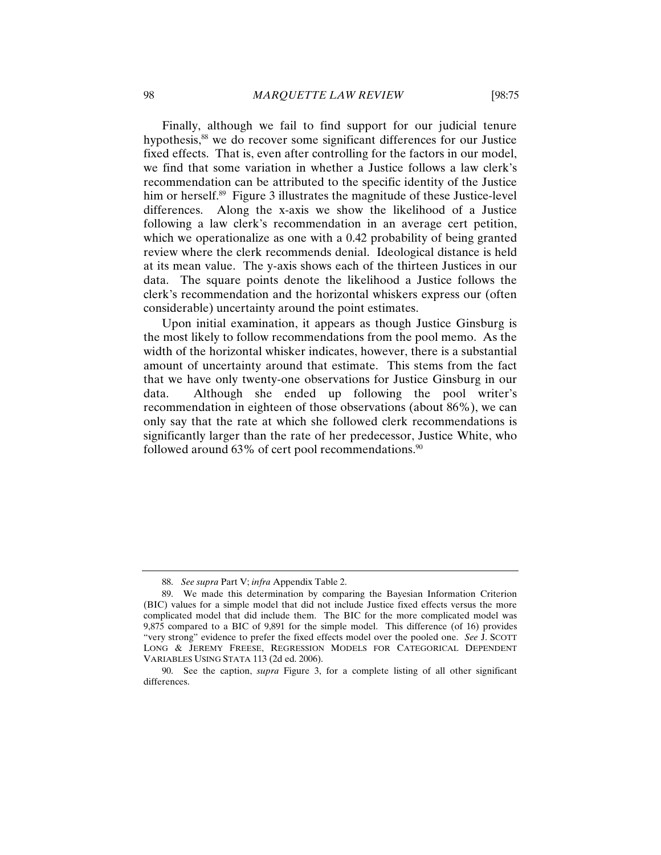Finally, although we fail to find support for our judicial tenure hypothesis,<sup>88</sup> we do recover some significant differences for our Justice fixed effects. That is, even after controlling for the factors in our model, we find that some variation in whether a Justice follows a law clerk's recommendation can be attributed to the specific identity of the Justice him or herself.<sup>89</sup> Figure 3 illustrates the magnitude of these Justice-level differences. Along the x-axis we show the likelihood of a Justice following a law clerk's recommendation in an average cert petition, which we operationalize as one with a 0.42 probability of being granted review where the clerk recommends denial. Ideological distance is held at its mean value. The y-axis shows each of the thirteen Justices in our data. The square points denote the likelihood a Justice follows the clerk's recommendation and the horizontal whiskers express our (often considerable) uncertainty around the point estimates.

Upon initial examination, it appears as though Justice Ginsburg is the most likely to follow recommendations from the pool memo. As the width of the horizontal whisker indicates, however, there is a substantial amount of uncertainty around that estimate. This stems from the fact that we have only twenty-one observations for Justice Ginsburg in our data. Although she ended up following the pool writer's recommendation in eighteen of those observations (about 86%), we can only say that the rate at which she followed clerk recommendations is significantly larger than the rate of her predecessor, Justice White, who followed around  $63\%$  of cert pool recommendations.<sup>90</sup>

<sup>88.</sup> *See supra* Part V; *infra* Appendix Table 2.

<sup>89.</sup> We made this determination by comparing the Bayesian Information Criterion (BIC) values for a simple model that did not include Justice fixed effects versus the more complicated model that did include them. The BIC for the more complicated model was 9,875 compared to a BIC of 9,891 for the simple model. This difference (of 16) provides "very strong" evidence to prefer the fixed effects model over the pooled one. *See* J. SCOTT LONG & JEREMY FREESE, REGRESSION MODELS FOR CATEGORICAL DEPENDENT VARIABLES USING STATA 113 (2d ed. 2006).

<sup>90.</sup> See the caption, *supra* Figure 3, for a complete listing of all other significant differences.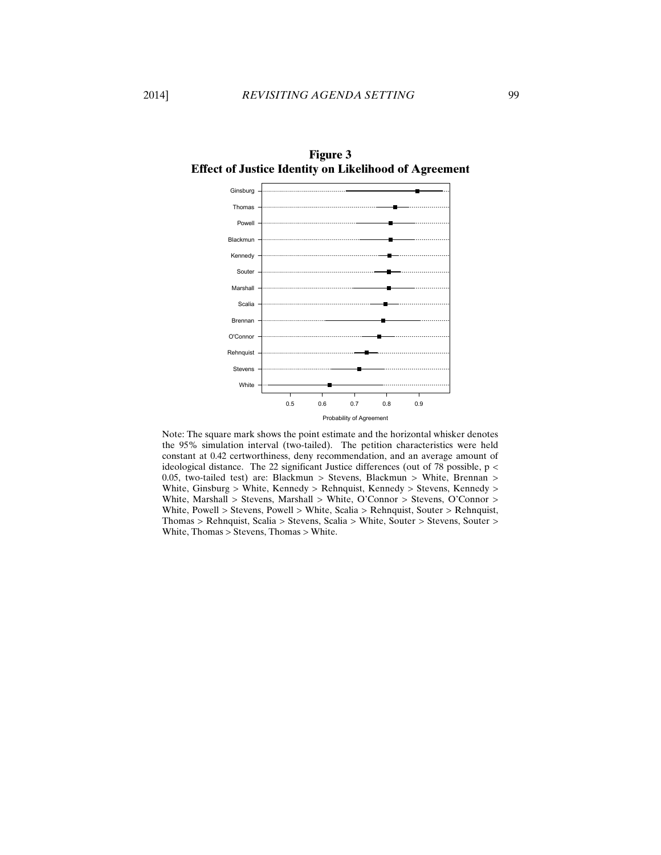

**Figure 3 Effect of Justice Identity on Likelihood of Agreement**

Note: The square mark shows the point estimate and the horizontal whisker denotes the 95% simulation interval (two-tailed). The petition characteristics were held constant at 0.42 certworthiness, deny recommendation, and an average amount of ideological distance. The 22 significant Justice differences (out of 78 possible, p < 0.05, two-tailed test) are: Blackmun > Stevens, Blackmun > White, Brennan > White, Ginsburg > White, Kennedy > Rehnquist, Kennedy > Stevens, Kennedy > White, Marshall > Stevens, Marshall > White, O'Connor > Stevens, O'Connor > White, Powell > Stevens, Powell > White, Scalia > Rehnquist, Souter > Rehnquist, Thomas > Rehnquist, Scalia > Stevens, Scalia > White, Souter > Stevens, Souter > White, Thomas > Stevens, Thomas > White.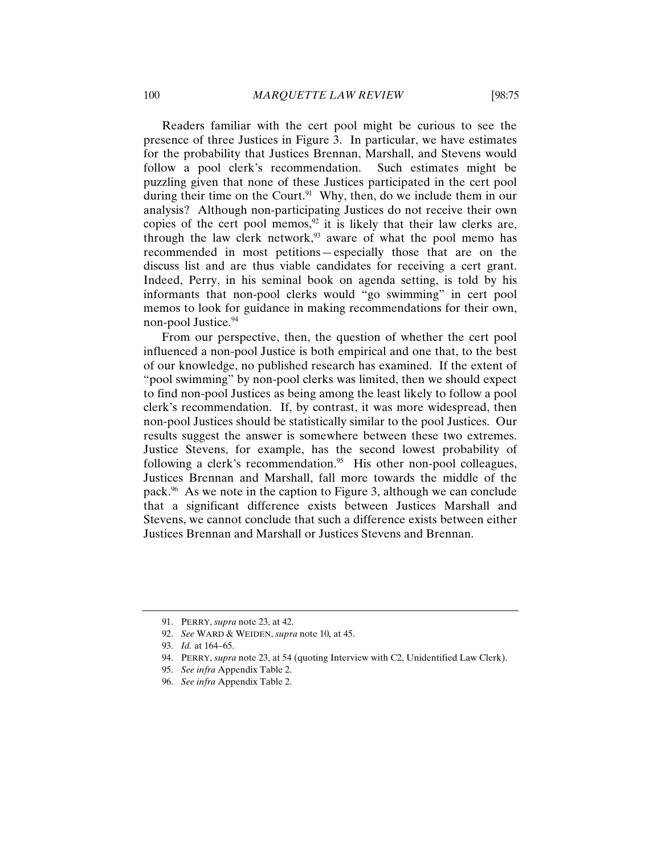Readers familiar with the cert pool might be curious to see the presence of three Justices in Figure 3. In particular, we have estimates for the probability that Justices Brennan, Marshall, and Stevens would follow a pool clerk's recommendation. Such estimates might be puzzling given that none of these Justices participated in the cert pool during their time on the Court.<sup>91</sup> Why, then, do we include them in our analysis? Although non-participating Justices do not receive their own copies of the cert pool memos, $92$  it is likely that their law clerks are, through the law clerk network,<sup>93</sup> aware of what the pool memo has recommended in most petitions—especially those that are on the discuss list and are thus viable candidates for receiving a cert grant. Indeed, Perry, in his seminal book on agenda setting, is told by his informants that non-pool clerks would "go swimming" in cert pool memos to look for guidance in making recommendations for their own, non-pool Justice.<sup>94</sup>

From our perspective, then, the question of whether the cert pool influenced a non-pool Justice is both empirical and one that, to the best of our knowledge, no published research has examined. If the extent of "pool swimming" by non-pool clerks was limited, then we should expect to find non-pool Justices as being among the least likely to follow a pool clerk's recommendation. If, by contrast, it was more widespread, then non-pool Justices should be statistically similar to the pool Justices. Our results suggest the answer is somewhere between these two extremes. Justice Stevens, for example, has the second lowest probability of following a clerk's recommendation.<sup>95</sup> His other non-pool colleagues, Justices Brennan and Marshall, fall more towards the middle of the pack.96 As we note in the caption to Figure 3, although we can conclude that a significant difference exists between Justices Marshall and Stevens, we cannot conclude that such a difference exists between either Justices Brennan and Marshall or Justices Stevens and Brennan.

<sup>91.</sup> PERRY, *supra* note 23, at 42.

<sup>92.</sup> *See* WARD & WEIDEN, *supra* note 10, at 45.

<sup>93.</sup> *Id.* at 164–65.

<sup>94.</sup> PERRY, *supra* note 23, at 54 (quoting Interview with C2, Unidentified Law Clerk).

<sup>95.</sup> *See infra* Appendix Table 2.

<sup>96.</sup> *See infra* Appendix Table 2.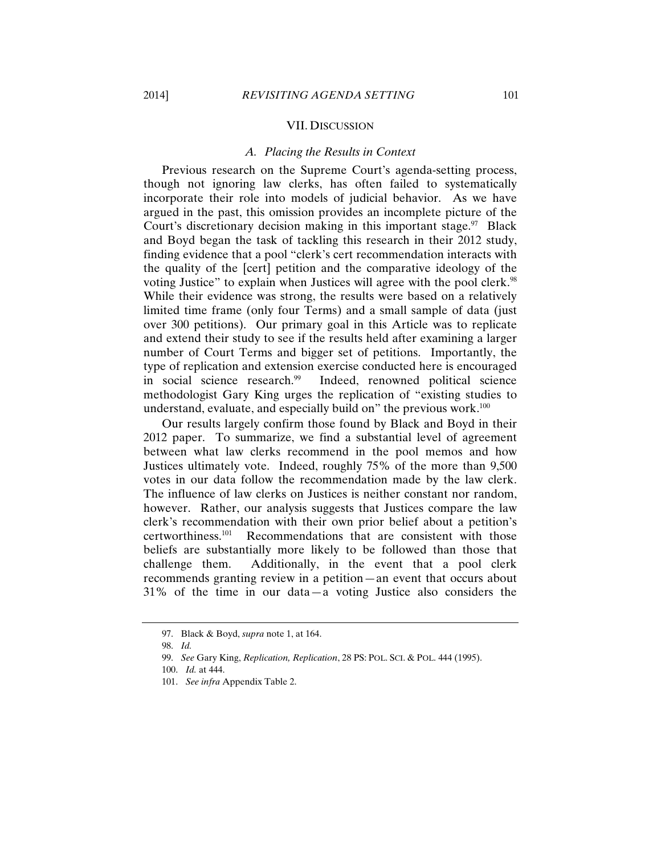#### VII. DISCUSSION

#### *A. Placing the Results in Context*

Previous research on the Supreme Court's agenda-setting process, though not ignoring law clerks, has often failed to systematically incorporate their role into models of judicial behavior. As we have argued in the past, this omission provides an incomplete picture of the Court's discretionary decision making in this important stage. $\frac{97}{12}$  Black and Boyd began the task of tackling this research in their 2012 study, finding evidence that a pool "clerk's cert recommendation interacts with the quality of the [cert] petition and the comparative ideology of the voting Justice" to explain when Justices will agree with the pool clerk.<sup>98</sup> While their evidence was strong, the results were based on a relatively limited time frame (only four Terms) and a small sample of data (just over 300 petitions). Our primary goal in this Article was to replicate and extend their study to see if the results held after examining a larger number of Court Terms and bigger set of petitions. Importantly, the type of replication and extension exercise conducted here is encouraged in social science research.<sup>99</sup> Indeed, renowned political science methodologist Gary King urges the replication of "existing studies to understand, evaluate, and especially build on" the previous work.<sup>100</sup>

Our results largely confirm those found by Black and Boyd in their 2012 paper. To summarize, we find a substantial level of agreement between what law clerks recommend in the pool memos and how Justices ultimately vote. Indeed, roughly 75% of the more than 9,500 votes in our data follow the recommendation made by the law clerk. The influence of law clerks on Justices is neither constant nor random, however. Rather, our analysis suggests that Justices compare the law clerk's recommendation with their own prior belief about a petition's certworthiness.101 Recommendations that are consistent with those beliefs are substantially more likely to be followed than those that challenge them. Additionally, in the event that a pool clerk recommends granting review in a petition—an event that occurs about 31% of the time in our data—a voting Justice also considers the

<sup>97.</sup> Black & Boyd, *supra* note 1, at 164.

<sup>98.</sup> *Id.*

<sup>99.</sup> *See* Gary King, *Replication, Replication*, 28 PS: POL. SCI. & POL. 444 (1995).

<sup>100.</sup> *Id.* at 444.

<sup>101.</sup> *See infra* Appendix Table 2.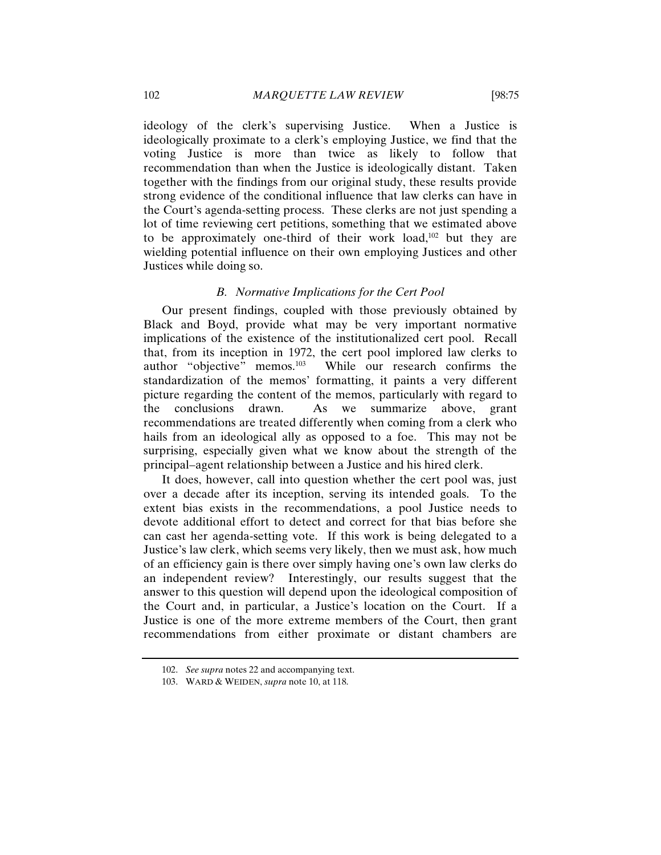ideology of the clerk's supervising Justice. When a Justice is ideologically proximate to a clerk's employing Justice, we find that the voting Justice is more than twice as likely to follow that recommendation than when the Justice is ideologically distant. Taken together with the findings from our original study, these results provide strong evidence of the conditional influence that law clerks can have in the Court's agenda-setting process. These clerks are not just spending a lot of time reviewing cert petitions, something that we estimated above to be approximately one-third of their work load,<sup> $102$ </sup> but they are wielding potential influence on their own employing Justices and other Justices while doing so.

#### *B. Normative Implications for the Cert Pool*

Our present findings, coupled with those previously obtained by Black and Boyd, provide what may be very important normative implications of the existence of the institutionalized cert pool. Recall that, from its inception in 1972, the cert pool implored law clerks to author "objective" memos.<sup>103</sup> While our research confirms the standardization of the memos' formatting, it paints a very different picture regarding the content of the memos, particularly with regard to the conclusions drawn. As we summarize above, grant recommendations are treated differently when coming from a clerk who hails from an ideological ally as opposed to a foe. This may not be surprising, especially given what we know about the strength of the principal–agent relationship between a Justice and his hired clerk.

It does, however, call into question whether the cert pool was, just over a decade after its inception, serving its intended goals. To the extent bias exists in the recommendations, a pool Justice needs to devote additional effort to detect and correct for that bias before she can cast her agenda-setting vote. If this work is being delegated to a Justice's law clerk, which seems very likely, then we must ask, how much of an efficiency gain is there over simply having one's own law clerks do an independent review? Interestingly, our results suggest that the answer to this question will depend upon the ideological composition of the Court and, in particular, a Justice's location on the Court. If a Justice is one of the more extreme members of the Court, then grant recommendations from either proximate or distant chambers are

<sup>102.</sup> *See supra* notes 22 and accompanying text.

<sup>103.</sup> WARD & WEIDEN, *supra* note 10, at 118.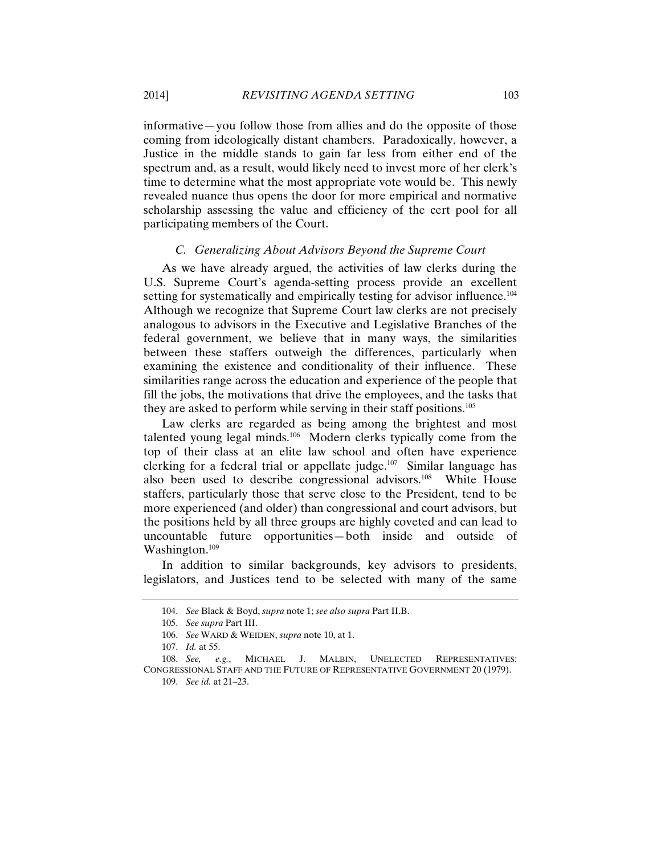informative—you follow those from allies and do the opposite of those coming from ideologically distant chambers. Paradoxically, however, a Justice in the middle stands to gain far less from either end of the spectrum and, as a result, would likely need to invest more of her clerk's time to determine what the most appropriate vote would be. This newly revealed nuance thus opens the door for more empirical and normative scholarship assessing the value and efficiency of the cert pool for all participating members of the Court.

#### *C. Generalizing About Advisors Beyond the Supreme Court*

As we have already argued, the activities of law clerks during the U.S. Supreme Court's agenda-setting process provide an excellent setting for systematically and empirically testing for advisor influence.<sup>104</sup> Although we recognize that Supreme Court law clerks are not precisely analogous to advisors in the Executive and Legislative Branches of the federal government, we believe that in many ways, the similarities between these staffers outweigh the differences, particularly when examining the existence and conditionality of their influence. These similarities range across the education and experience of the people that fill the jobs, the motivations that drive the employees, and the tasks that they are asked to perform while serving in their staff positions.<sup>105</sup>

Law clerks are regarded as being among the brightest and most talented young legal minds.<sup>106</sup> Modern clerks typically come from the top of their class at an elite law school and often have experience clerking for a federal trial or appellate judge.<sup>107</sup> Similar language has also been used to describe congressional advisors.<sup>108</sup> White House staffers, particularly those that serve close to the President, tend to be more experienced (and older) than congressional and court advisors, but the positions held by all three groups are highly coveted and can lead to uncountable future opportunities—both inside and outside of Washington.<sup>109</sup>

In addition to similar backgrounds, key advisors to presidents, legislators, and Justices tend to be selected with many of the same

<sup>104.</sup> *See* Black & Boyd, *supra* note 1; *see also supra* Part II.B.

<sup>105.</sup> *See supra* Part III.

<sup>106.</sup> *See* WARD & WEIDEN, *supra* note 10, at 1.

<sup>107.</sup> *Id.* at 55.

<sup>108.</sup> *See, e.g.*, MICHAEL J. MALBIN, UNELECTED REPRESENTATIVES: CONGRESSIONAL STAFF AND THE FUTURE OF REPRESENTATIVE GOVERNMENT 20 (1979). 109. *See id.* at 21–23.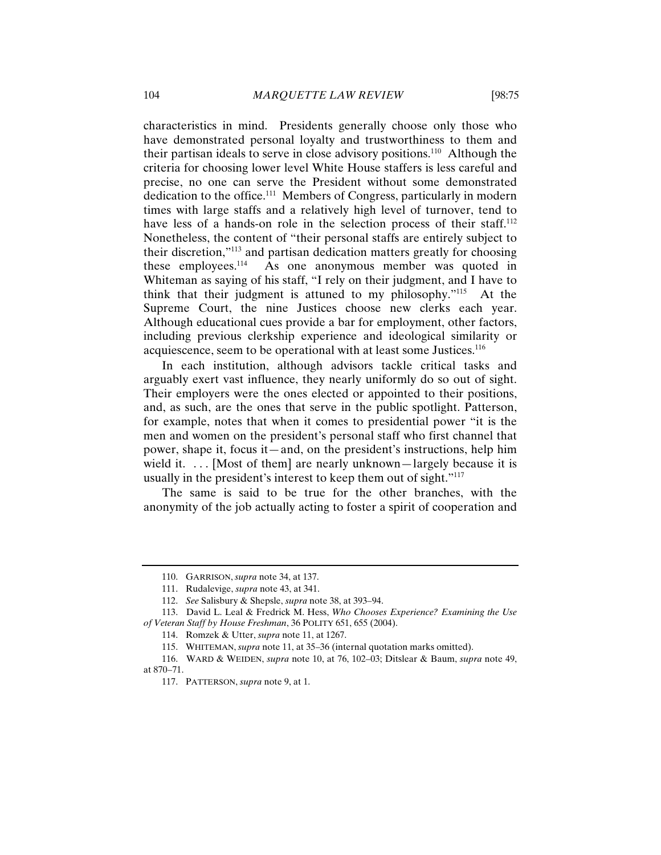characteristics in mind. Presidents generally choose only those who have demonstrated personal loyalty and trustworthiness to them and their partisan ideals to serve in close advisory positions.110 Although the criteria for choosing lower level White House staffers is less careful and precise, no one can serve the President without some demonstrated dedication to the office.111 Members of Congress, particularly in modern times with large staffs and a relatively high level of turnover, tend to have less of a hands-on role in the selection process of their staff.<sup>112</sup> Nonetheless, the content of "their personal staffs are entirely subject to their discretion,"113 and partisan dedication matters greatly for choosing these employees.114 As one anonymous member was quoted in Whiteman as saying of his staff, "I rely on their judgment, and I have to think that their judgment is attuned to my philosophy."115 At the Supreme Court, the nine Justices choose new clerks each year. Although educational cues provide a bar for employment, other factors, including previous clerkship experience and ideological similarity or acquiescence, seem to be operational with at least some Justices.<sup>116</sup>

In each institution, although advisors tackle critical tasks and arguably exert vast influence, they nearly uniformly do so out of sight. Their employers were the ones elected or appointed to their positions, and, as such, are the ones that serve in the public spotlight. Patterson, for example, notes that when it comes to presidential power "it is the men and women on the president's personal staff who first channel that power, shape it, focus it—and, on the president's instructions, help him wield it.  $\ldots$  [Most of them] are nearly unknown—largely because it is usually in the president's interest to keep them out of sight."<sup>117</sup>

The same is said to be true for the other branches, with the anonymity of the job actually acting to foster a spirit of cooperation and

<sup>110.</sup> GARRISON, *supra* note 34, at 137.

<sup>111.</sup> Rudalevige, *supra* note 43, at 341.

<sup>112.</sup> *See* Salisbury & Shepsle, *supra* note 38, at 393–94.

<sup>113.</sup> David L. Leal & Fredrick M. Hess, *Who Chooses Experience? Examining the Use of Veteran Staff by House Freshman*, 36 POLITY 651, 655 (2004).

<sup>114.</sup> Romzek & Utter, *supra* note 11, at 1267.

<sup>115.</sup> WHITEMAN, *supra* note 11, at 35–36 (internal quotation marks omitted).

<sup>116.</sup> WARD & WEIDEN, *supra* note 10, at 76, 102–03; Ditslear & Baum, *supra* note 49, at 870–71.

<sup>117.</sup> PATTERSON, *supra* note 9, at 1.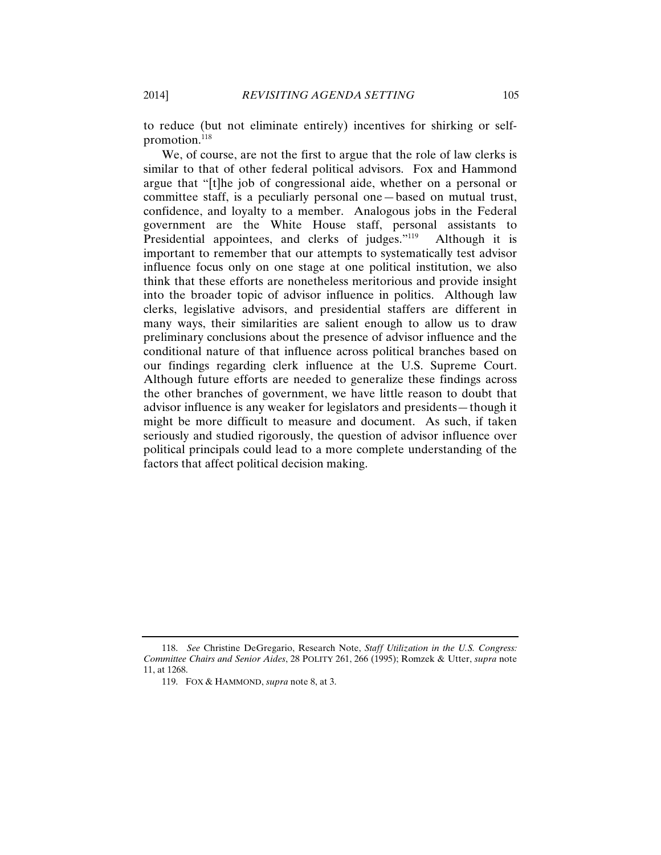to reduce (but not eliminate entirely) incentives for shirking or selfpromotion.<sup>118</sup>

We, of course, are not the first to argue that the role of law clerks is similar to that of other federal political advisors. Fox and Hammond argue that "[t]he job of congressional aide, whether on a personal or committee staff, is a peculiarly personal one—based on mutual trust, confidence, and loyalty to a member. Analogous jobs in the Federal government are the White House staff, personal assistants to Presidential appointees, and clerks of judges."<sup>119</sup> Although it is important to remember that our attempts to systematically test advisor influence focus only on one stage at one political institution, we also think that these efforts are nonetheless meritorious and provide insight into the broader topic of advisor influence in politics. Although law clerks, legislative advisors, and presidential staffers are different in many ways, their similarities are salient enough to allow us to draw preliminary conclusions about the presence of advisor influence and the conditional nature of that influence across political branches based on our findings regarding clerk influence at the U.S. Supreme Court. Although future efforts are needed to generalize these findings across the other branches of government, we have little reason to doubt that advisor influence is any weaker for legislators and presidents—though it might be more difficult to measure and document. As such, if taken seriously and studied rigorously, the question of advisor influence over political principals could lead to a more complete understanding of the factors that affect political decision making.

<sup>118.</sup> *See* Christine DeGregario, Research Note, *Staff Utilization in the U.S. Congress: Committee Chairs and Senior Aides*, 28 POLITY 261, 266 (1995); Romzek & Utter, *supra* note 11, at 1268.

<sup>119.</sup> FOX & HAMMOND, *supra* note 8, at 3.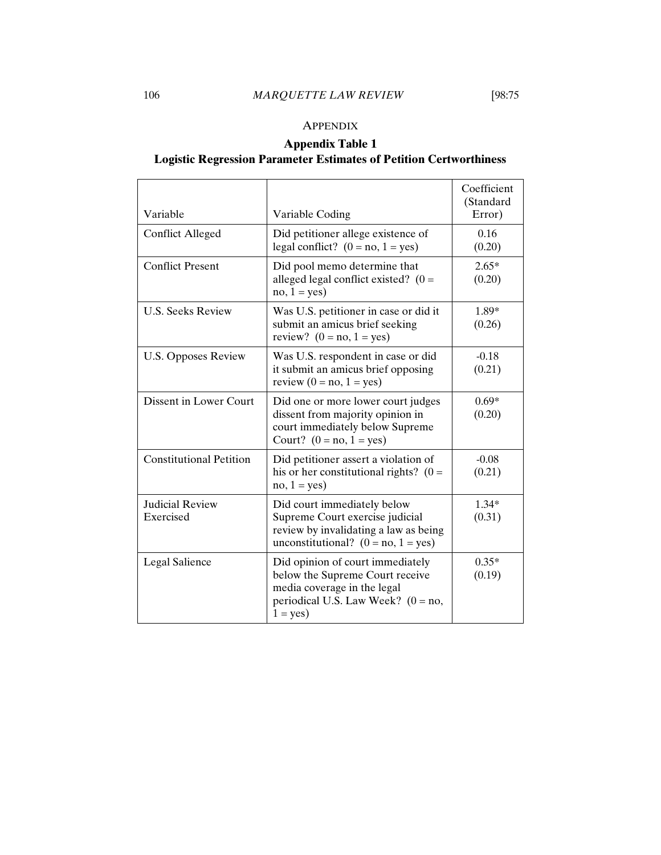### APPENDIX

## **Appendix Table 1**

## **Logistic Regression Parameter Estimates of Petition Certworthiness**

| Variable                            | Variable Coding                                                                                                                                         | Coefficient<br>(Standard<br>Error) |
|-------------------------------------|---------------------------------------------------------------------------------------------------------------------------------------------------------|------------------------------------|
| <b>Conflict Alleged</b>             | Did petitioner allege existence of<br>legal conflict? $(0 = no, 1 = yes)$                                                                               | 0.16<br>(0.20)                     |
| <b>Conflict Present</b>             | Did pool memo determine that<br>alleged legal conflict existed? ( $0 =$<br>$no, 1 = yes)$                                                               | $2.65*$<br>(0.20)                  |
| <b>U.S. Seeks Review</b>            | Was U.S. petitioner in case or did it<br>submit an amicus brief seeking<br>review? $(0 = no, 1 = yes)$                                                  | 1.89*<br>(0.26)                    |
| <b>U.S. Opposes Review</b>          | Was U.S. respondent in case or did<br>it submit an amicus brief opposing<br>review $(0 = no, 1 = yes)$                                                  | $-0.18$<br>(0.21)                  |
| Dissent in Lower Court              | Did one or more lower court judges<br>dissent from majority opinion in<br>court immediately below Supreme<br>Court? $(0 = no, 1 = yes)$                 | $0.69*$<br>(0.20)                  |
| <b>Constitutional Petition</b>      | Did petitioner assert a violation of<br>his or her constitutional rights? $(0 =$<br>$no, 1 = yes)$                                                      | $-0.08$<br>(0.21)                  |
| <b>Judicial Review</b><br>Exercised | Did court immediately below<br>Supreme Court exercise judicial<br>review by invalidating a law as being<br>unconstitutional? $(0 = no, 1 = yes)$        | $1.34*$<br>(0.31)                  |
| Legal Salience                      | Did opinion of court immediately<br>below the Supreme Court receive<br>media coverage in the legal<br>periodical U.S. Law Week? $(0 = no,$<br>$1 = yes$ | $0.35*$<br>(0.19)                  |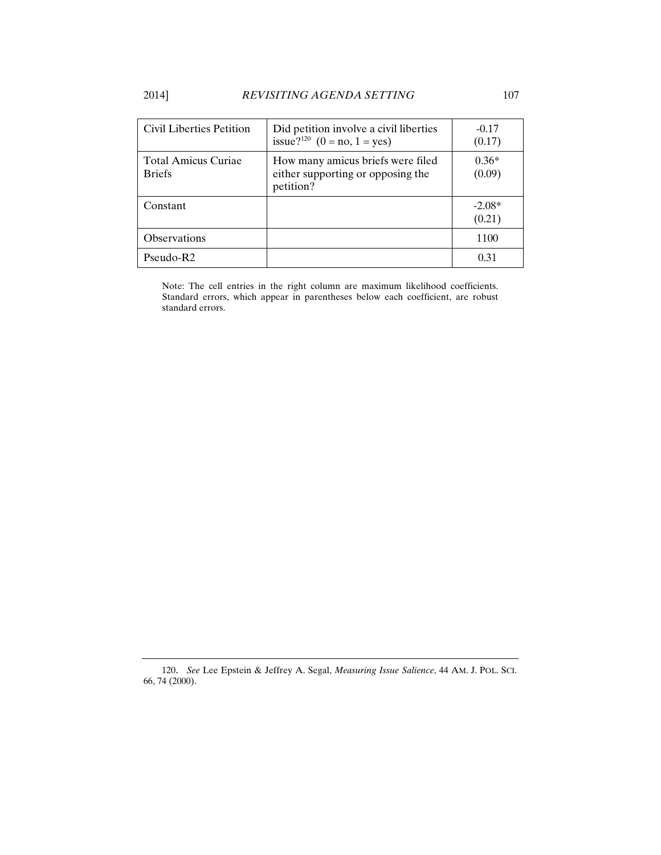| Civil Liberties Petition                    | Did petition involve a civil liberties<br>issue? <sup>120</sup> (0 = no, 1 = yes)   | $-0.17$<br>(0.17)  |
|---------------------------------------------|-------------------------------------------------------------------------------------|--------------------|
| <b>Total Amicus Curiae</b><br><b>Briefs</b> | How many amicus briefs were filed<br>either supporting or opposing the<br>petition? | $0.36*$<br>(0.09)  |
| Constant                                    |                                                                                     | $-2.08*$<br>(0.21) |
| Observations                                |                                                                                     | 1100               |
| $Pseudo-R2$                                 |                                                                                     | 0.31               |

Note: The cell entries in the right column are maximum likelihood coefficients. Standard errors, which appear in parentheses below each coefficient, are robust standard errors.

<sup>120.</sup> *See* Lee Epstein & Jeffrey A. Segal, *Measuring Issue Salience*, 44 AM. J. POL. SCI. 66, 74 (2000).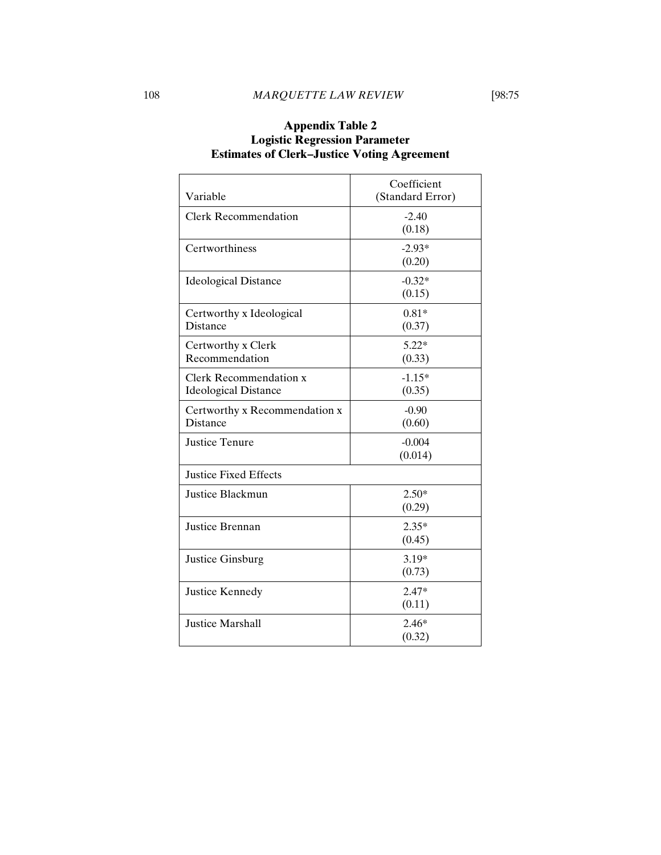| Variable                                              | Coefficient         |  |  |  |
|-------------------------------------------------------|---------------------|--|--|--|
|                                                       | (Standard Error)    |  |  |  |
| <b>Clerk Recommendation</b>                           | $-2.40$<br>(0.18)   |  |  |  |
| Certworthiness                                        | $-2.93*$<br>(0.20)  |  |  |  |
| <b>Ideological Distance</b>                           | $-0.32*$<br>(0.15)  |  |  |  |
| Certworthy x Ideological<br><b>Distance</b>           | $0.81*$<br>(0.37)   |  |  |  |
| Certworthy x Clerk<br>Recommendation                  | $5.22*$<br>(0.33)   |  |  |  |
| Clerk Recommendation x<br><b>Ideological Distance</b> | $-1.15*$<br>(0.35)  |  |  |  |
| Certworthy x Recommendation x<br><b>Distance</b>      | $-0.90$<br>(0.60)   |  |  |  |
| <b>Justice Tenure</b>                                 | $-0.004$<br>(0.014) |  |  |  |
| <b>Justice Fixed Effects</b>                          |                     |  |  |  |
| Justice Blackmun                                      | $2.50*$<br>(0.29)   |  |  |  |
| Justice Brennan                                       | $2.35*$<br>(0.45)   |  |  |  |
| Justice Ginsburg                                      | $3.19*$<br>(0.73)   |  |  |  |
| Justice Kennedy                                       | $2.47*$<br>(0.11)   |  |  |  |
| <b>Justice Marshall</b>                               | $2.46*$<br>(0.32)   |  |  |  |